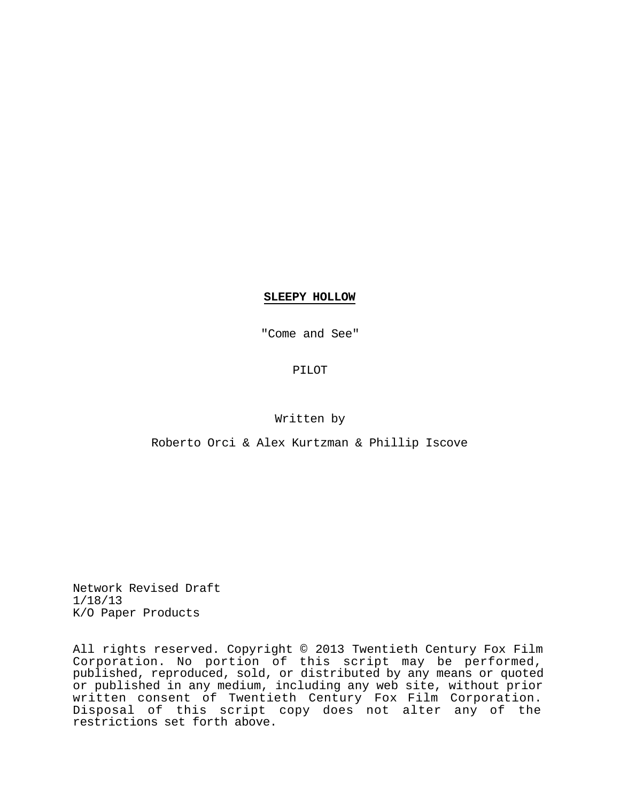# **SLEEPY HOLLOW**

"Come and See"

PILOT

# Written by

# Roberto Orci & Alex Kurtzman & Phillip Iscove

Network Revised Draft 1/18/13 K/O Paper Products

All rights reserved. Copyright © 2013 Twentieth Century Fox Film Corporation. No portion of this script may be performed, published, reproduced, sold, or distributed by any means or quoted or published in any medium, including any web site, without prior written consent of Twentieth Century Fox Film Corporation. Disposal of this script copy does not alter any of the restrictions set forth above.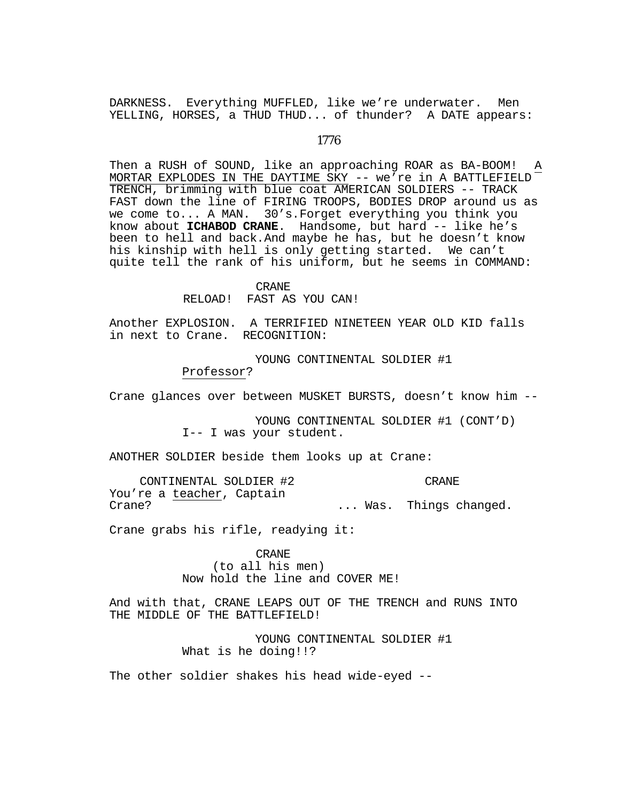DARKNESS. Everything MUFFLED, like we're underwater. Men YELLING, HORSES, a THUD THUD... of thunder? A DATE appears:

# *1776*

Then a RUSH of SOUND, like an approaching ROAR as BA-BOOM! MORTAR EXPLODES IN THE DAYTIME SKY -- we're in A BATTLEFIELD TRENCH, brimming with blue coat AMERICAN SOLDIERS -- TRACK FAST down the line of FIRING TROOPS, BODIES DROP around us as we come to... A MAN. 30's.Forget everything you think you know about **ICHABOD CRANE**. Handsome, but hard -- like he's been to hell and back.And maybe he has, but he doesn't know his kinship with hell is only getting started. We can't quite tell the rank of his uniform, but he seems in COMMAND:

#### CRANE

RELOAD! FAST AS YOU CAN!

Another EXPLOSION. A TERRIFIED NINETEEN YEAR OLD KID falls in next to Crane. RECOGNITION:

> YOUNG CONTINENTAL SOLDIER #1 Professor?

Crane glances over between MUSKET BURSTS, doesn't know him --

YOUNG CONTINENTAL SOLDIER #1 (CONT'D) I-- I was your student.

ANOTHER SOLDIER beside them looks up at Crane:

CONTINENTAL SOLDIER #2 You're a teacher, Captain Crane? CRANE ... Was. Things changed.

Crane grabs his rifle, readying it:

CRANE (to all his men) Now hold the line and COVER ME!

And with that, CRANE LEAPS OUT OF THE TRENCH and RUNS INTO THE MIDDLE OF THE BATTLEFIELD!

> YOUNG CONTINENTAL SOLDIER #1 What is he doing!!?

The other soldier shakes his head wide-eyed --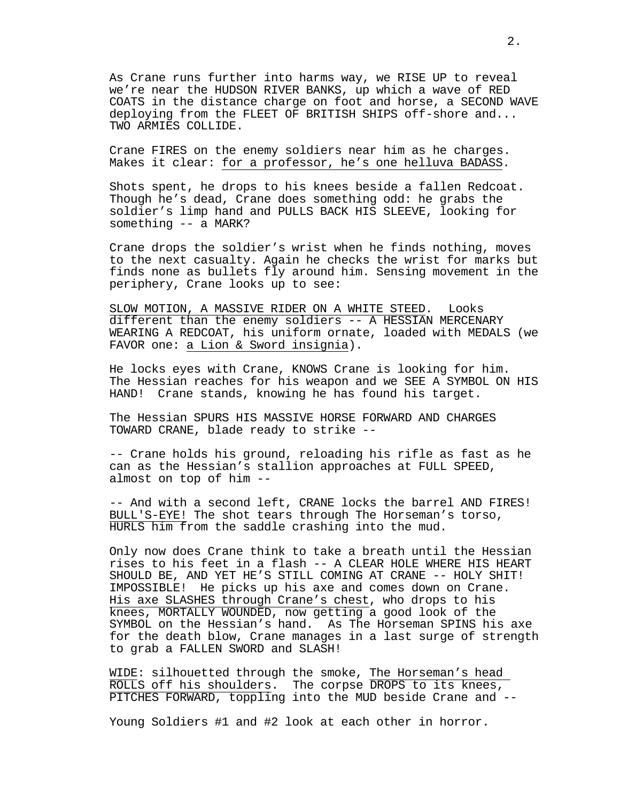As Crane runs further into harms way, we RISE UP to reveal we're near the HUDSON RIVER BANKS, up which a wave of RED COATS in the distance charge on foot and horse, a SECOND WAVE deploying from the FLEET OF BRITISH SHIPS off-shore and... TWO ARMIES COLLIDE.

Crane FIRES on the enemy soldiers near him as he charges. Makes it clear: for a professor, he's one helluva BADASS.

Shots spent, he drops to his knees beside a fallen Redcoat. Though he's dead, Crane does something odd: he grabs the soldier's limp hand and PULLS BACK HIS SLEEVE, looking for something -- a MARK?

Crane drops the soldier's wrist when he finds nothing, moves to the next casualty. Again he checks the wrist for marks but finds none as bullets fly around him. Sensing movement in the periphery, Crane looks up to see:

SLOW MOTION, A MASSIVE RIDER ON A WHITE STEED. Looks different than the enemy soldiers -- A HESSIAN MERCENARY WEARING A REDCOAT, his uniform ornate, loaded with MEDALS (we FAVOR one: a Lion & Sword insignia).

He locks eyes with Crane, KNOWS Crane is looking for him. The Hessian reaches for his weapon and we SEE A SYMBOL ON HIS HAND! Crane stands, knowing he has found his target.

The Hessian SPURS HIS MASSIVE HORSE FORWARD AND CHARGES TOWARD CRANE, blade ready to strike --

-- Crane holds his ground, reloading his rifle as fast as he can as the Hessian's stallion approaches at FULL SPEED, almost on top of him --

-- And with a second left, CRANE locks the barrel AND FIRES! BULL'S-EYE! The shot tears through The Horseman's torso, HURLS him from the saddle crashing into the mud.

Only now does Crane think to take a breath until the Hessian rises to his feet in a flash -- A CLEAR HOLE WHERE HIS HEART SHOULD BE, AND YET HE'S STILL COMING AT CRANE -- HOLY SHIT! IMPOSSIBLE! He picks up his axe and comes down on Crane. His axe SLASHES through Crane's chest, who drops to his knees, MORTALLY WOUNDED, now getting a good look of the SYMBOL on the Hessian's hand. As The Horseman SPINS his axe for the death blow, Crane manages in a last surge of strength to grab a FALLEN SWORD and SLASH!

WIDE: silhouetted through the smoke, The Horseman's head ROLLS off his shoulders. The corpse DROPS to its knees, PITCHES FORWARD, toppling into the MUD beside Crane and --

Young Soldiers #1 and #2 look at each other in horror.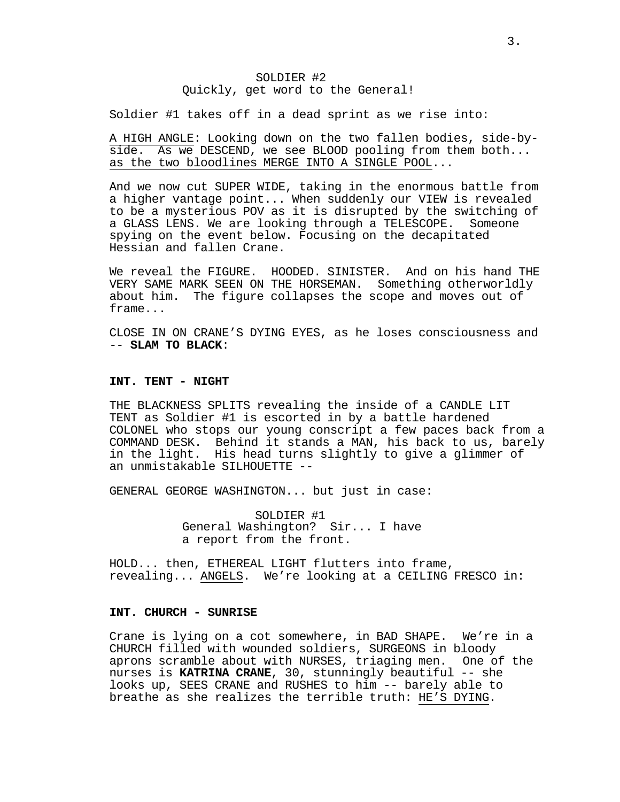# SOLDIER #2 Quickly, get word to the General!

Soldier #1 takes off in a dead sprint as we rise into:

A HIGH ANGLE: Looking down on the two fallen bodies, side-byside. As we DESCEND, we see BLOOD pooling from them both... as the two bloodlines MERGE INTO A SINGLE POOL...

And we now cut SUPER WIDE, taking in the enormous battle from a higher vantage point... When suddenly our VIEW is revealed to be a mysterious POV as it is disrupted by the switching of a GLASS LENS. We are looking through a TELESCOPE. Someone spying on the event below. Focusing on the decapitated Hessian and fallen Crane.

We reveal the FIGURE. HOODED. SINISTER. And on his hand THE VERY SAME MARK SEEN ON THE HORSEMAN. Something otherworldly about him. The figure collapses the scope and moves out of frame...

CLOSE IN ON CRANE'S DYING EYES, as he loses consciousness and -- **SLAM TO BLACK**:

#### **INT. TENT - NIGHT**

THE BLACKNESS SPLITS revealing the inside of a CANDLE LIT TENT as Soldier #1 is escorted in by a battle hardened COLONEL who stops our young conscript a few paces back from a COMMAND DESK. Behind it stands a MAN, his back to us, barely in the light. His head turns slightly to give a glimmer of an unmistakable SILHOUETTE --

GENERAL GEORGE WASHINGTON... but just in case:

SOLDIER #1 General Washington? Sir... I have a report from the front.

HOLD... then, ETHEREAL LIGHT flutters into frame, revealing... ANGELS. We're looking at a CEILING FRESCO in:

# **INT. CHURCH - SUNRISE**

Crane is lying on a cot somewhere, in BAD SHAPE. We're in a CHURCH filled with wounded soldiers, SURGEONS in bloody aprons scramble about with NURSES, triaging men. One of the nurses is **KATRINA CRANE**, 30, stunningly beautiful -- she looks up, SEES CRANE and RUSHES to him -- barely able to breathe as she realizes the terrible truth: HE'S DYING.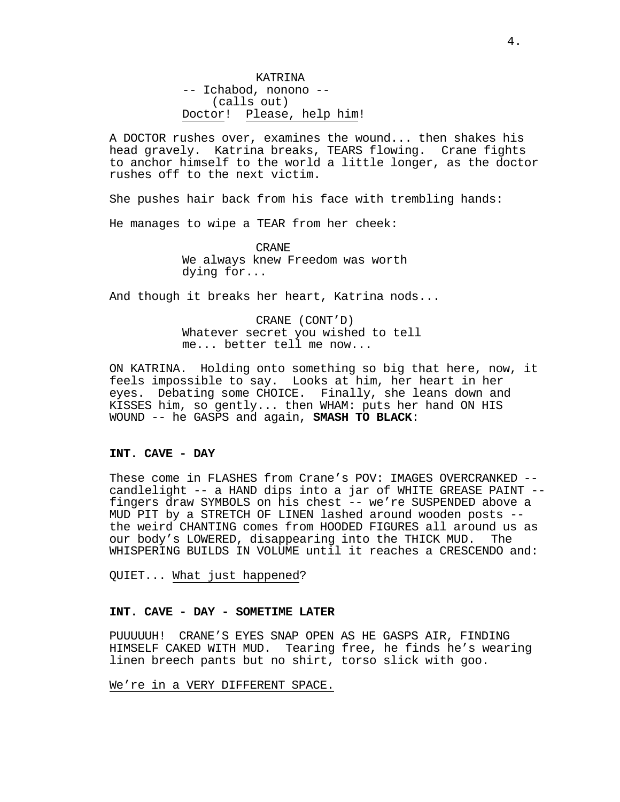KATRINA -- Ichabod, nonono -- (calls out) Doctor! Please, help him!

A DOCTOR rushes over, examines the wound... then shakes his head gravely. Katrina breaks, TEARS flowing. Crane fights to anchor himself to the world a little longer, as the doctor rushes off to the next victim.

She pushes hair back from his face with trembling hands:

He manages to wipe a TEAR from her cheek:

CRANE We always knew Freedom was worth dying for...

And though it breaks her heart, Katrina nods...

CRANE (CONT'D) Whatever secret you wished to tell me... better tell me now...

ON KATRINA. Holding onto something so big that here, now, it feels impossible to say. Looks at him, her heart in her eyes. Debating some CHOICE. Finally, she leans down and KISSES him, so gently... then WHAM: puts her hand ON HIS WOUND -- he GASPS and again, **SMASH TO BLACK**:

# **INT. CAVE - DAY**

These come in FLASHES from Crane's POV: IMAGES OVERCRANKED - candlelight -- a HAND dips into a jar of WHITE GREASE PAINT - fingers draw SYMBOLS on his chest -- we're SUSPENDED above a MUD PIT by a STRETCH OF LINEN lashed around wooden posts - the weird CHANTING comes from HOODED FIGURES all around us as<br>our body's LOWERED, disappearing into the THICK MUD. The our body's LOWERED, disappearing into the THICK MUD. WHISPERING BUILDS IN VOLUME until it reaches a CRESCENDO and:

QUIET... What just happened?

### **INT. CAVE - DAY - SOMETIME LATER**

PUUUUUH! CRANE'S EYES SNAP OPEN AS HE GASPS AIR, FINDING HIMSELF CAKED WITH MUD. Tearing free, he finds he's wearing linen breech pants but no shirt, torso slick with goo.

We're in a VERY DIFFERENT SPACE.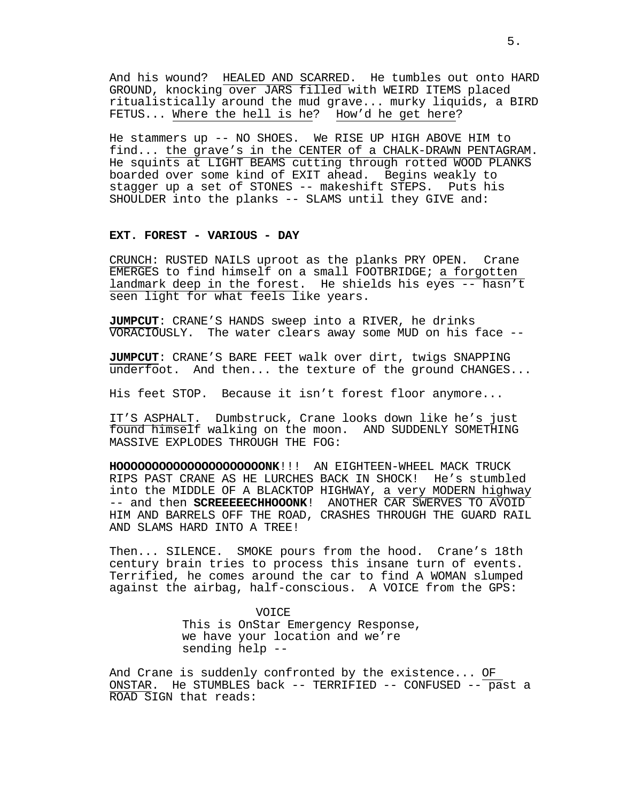And his wound? HEALED AND SCARRED. He tumbles out onto HARD GROUND, knocking over JARS filled with WEIRD ITEMS placed ritualistically around the mud grave... murky liquids, a BIRD FETUS... Where the hell is he? How'd he get here?

He stammers up -- NO SHOES. We RISE UP HIGH ABOVE HIM to find... the grave's in the CENTER of a CHALK-DRAWN PENTAGRAM. He squints at LIGHT BEAMS cutting through rotted WOOD PLANKS boarded over some kind of EXIT ahead. Begins weakly to stagger up a set of STONES -- makeshift STEPS. Puts his SHOULDER into the planks -- SLAMS until they GIVE and:

### **EXT. FOREST - VARIOUS - DAY**

CRUNCH: RUSTED NAILS uproot as the planks PRY OPEN. Crane EMERGES to find himself on a small FOOTBRIDGE; a forgotten landmark deep in the forest. He shields his eyes  $-$ - hasn't seen light for what feels like years.

**JUMPCUT**: CRANE'S HANDS sweep into a RIVER, he drinks VORACIOUSLY. The water clears away some MUD on his face --

**JUMPCUT**: CRANE'S BARE FEET walk over dirt, twigs SNAPPING underfoot. And then... the texture of the ground CHANGES...

His feet STOP. Because it isn't forest floor anymore...

IT'S ASPHALT. Dumbstruck, Crane looks down like he's just found himself walking on the moon. AND SUDDENLY SOMETHING MASSIVE EXPLODES THROUGH THE FOG:

**HOOOOOOOOOOOOOOOOOOOOONK**!!! AN EIGHTEEN-WHEEL MACK TRUCK RIPS PAST CRANE AS HE LURCHES BACK IN SHOCK! He's stumbled into the MIDDLE OF A BLACKTOP HIGHWAY, a very MODERN highway -- and then **SCREEEEECHHOOONK**! ANOTHER CAR SWERVES TO AVOID HIM AND BARRELS OFF THE ROAD, CRASHES THROUGH THE GUARD RAIL AND SLAMS HARD INTO A TREE!

Then... SILENCE. SMOKE pours from the hood. Crane's 18th century brain tries to process this insane turn of events. Terrified, he comes around the car to find A WOMAN slumped against the airbag, half-conscious. A VOICE from the GPS:

> VOICE This is OnStar Emergency Response, we have your location and we're sending help --

And Crane is suddenly confronted by the existence... OF ONSTAR. He STUMBLES back -- TERRIFIED -- CONFUSED -- past a ROAD SIGN that reads: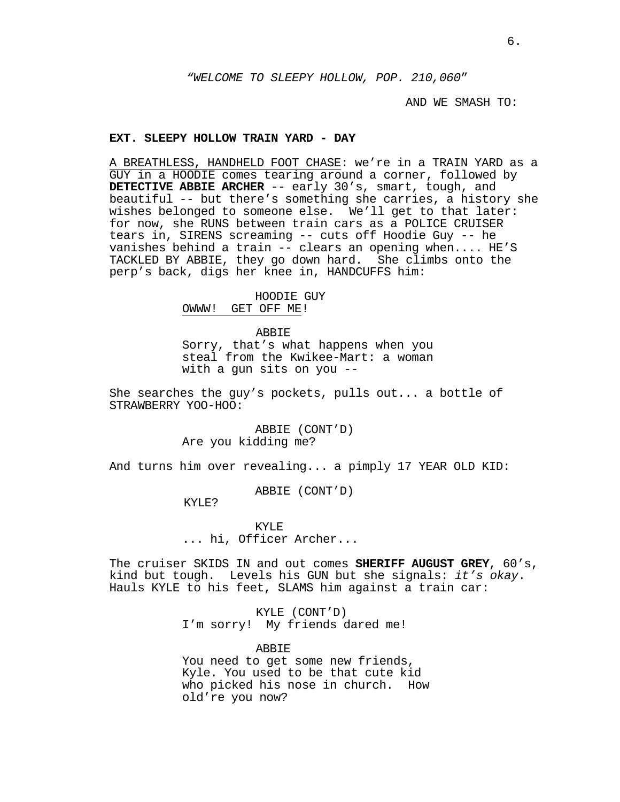*"WELCOME TO SLEEPY HOLLOW, POP. 210,060*"

AND WE SMASH TO:

#### **EXT. SLEEPY HOLLOW TRAIN YARD - DAY**

A BREATHLESS, HANDHELD FOOT CHASE: we're in a TRAIN YARD as a GUY in a HOODIE comes tearing around a corner, followed by **DETECTIVE ABBIE ARCHER** -- early 30's, smart, tough, and beautiful -- but there's something she carries, a history she wishes belonged to someone else. We'll get to that later: for now, she RUNS between train cars as a POLICE CRUISER tears in, SIRENS screaming -- cuts off Hoodie Guy -- he vanishes behind a train -- clears an opening when.... HE'S TACKLED BY ABBIE, they go down hard. She climbs onto the perp's back, digs her knee in, HANDCUFFS him:

HOODIE GUY

OWWW! GET OFF ME!

ABBIE

Sorry, that's what happens when you steal from the Kwikee-Mart: a woman with a gun sits on you --

She searches the guy's pockets, pulls out... a bottle of STRAWBERRY YOO-HOO:

> ABBIE (CONT'D) Are you kidding me?

And turns him over revealing... a pimply 17 YEAR OLD KID:

ABBIE (CONT'D)

KYLE?

KYLE ... hi, Officer Archer...

The cruiser SKIDS IN and out comes **SHERIFF AUGUST GREY**, 60's, kind but tough. Levels his GUN but she signals: *it's okay*. Hauls KYLE to his feet, SLAMS him against a train car:

> KYLE (CONT'D) I'm sorry! My friends dared me!

> > ABBIE

You need to get some new friends, Kyle. You used to be that cute kid who picked his nose in church. How old're you now?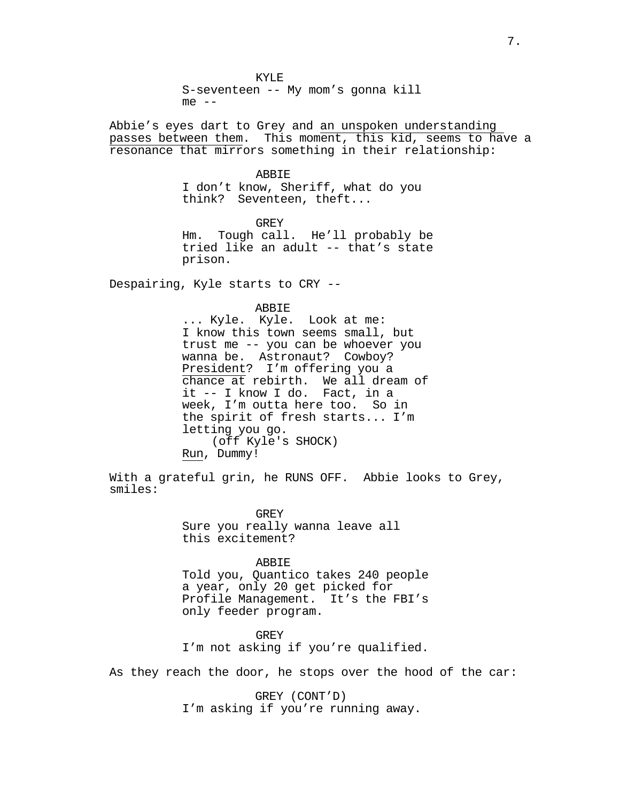KYLE S-seventeen -- My mom's gonna kill  $me$   $-$ 

Abbie's eyes dart to Grey and an unspoken understanding passes between them. This moment, this kid, seems to have a resonance that mirrors something in their relationship:

#### **ABBIE**

I don't know, Sheriff, what do you think? Seventeen, theft...

GREY Hm. Tough call. He'll probably be tried like an adult -- that's state prison.

Despairing, Kyle starts to CRY --

ABBIE<br>CREATE: Look at me: I know this town seems small, but trust me -- you can be whoever you wanna be. Astronaut? Cowboy? President? I'm offering you a chance at rebirth. We all dream of it -- I know I do. Fact, in a week, I'm outta here too. So in the spirit of fresh starts... I'm letting you go. (off Kyle's SHOCK) Run, Dummy!

With a grateful grin, he RUNS OFF. Abbie looks to Grey, smiles:

> GREY Sure you really wanna leave all this excitement?

> > ABBIE

Told you, Quantico takes 240 people a year, only 20 get picked for Profile Management. It's the FBI's only feeder program.

GREY I'm not asking if you're qualified.

As they reach the door, he stops over the hood of the car:

GREY (CONT'D) I'm asking if you're running away.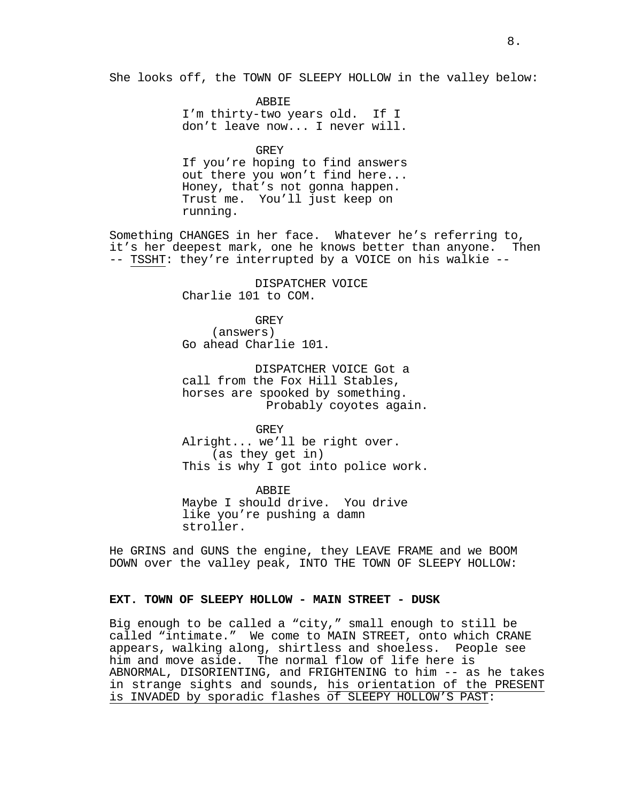She looks off, the TOWN OF SLEEPY HOLLOW in the valley below:

ABBIE I'm thirty-two years old. If I don't leave now... I never will.

GREY If you're hoping to find answers out there you won't find here... Honey, that's not gonna happen. Trust me. You'll just keep on running.

Something CHANGES in her face. Whatever he's referring to,<br>it's her deepest mark, one he knows better than anyone. Then -- TSSHT: they're interrupted by a VOICE on his walkie --

> DISPATCHER VOICE Charlie 101 to COM.

GREY (answers) Go ahead Charlie 101.

DISPATCHER VOICE Got a<br>call from the Fox Hill Stables, horses are spooked by something.<br>Probably coyotes again.

GREY Alright... we'll be right over. (as they get in) This is why I got into police work.

ABBIE Maybe I should drive. You drive like you're pushing a damn stroller.

He GRINS and GUNS the engine, they LEAVE FRAME and we BOOM DOWN over the valley peak, INTO THE TOWN OF SLEEPY HOLLOW:

# **EXT. TOWN OF SLEEPY HOLLOW - MAIN STREET - DUSK**

Big enough to be called a "city," small enough to still be called "intimate." We come to MAIN STREET, onto which CRANE appears, walking along, shirtless and shoeless. People see him and move aside. The normal flow of life here is ABNORMAL, DISORIENTING, and FRIGHTENING to him -- as he takes in strange sights and sounds, his orientation of the PRESENT is INVADED by sporadic flashes of SLEEPY HOLLOW'S PAST: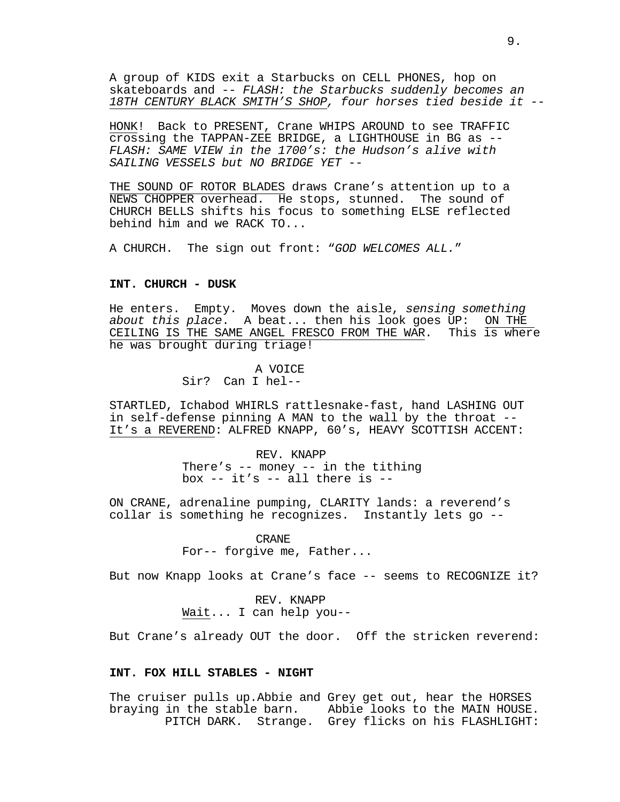A group of KIDS exit a Starbucks on CELL PHONES, hop on skateboards and -- *FLASH: the Starbucks suddenly becomes an 18TH CENTURY BLACK SMITH'S SHOP, four horses tied beside it --*

HONK! Back to PRESENT, Crane WHIPS AROUND to see TRAFFIC crossing the TAPPAN-ZEE BRIDGE, a LIGHTHOUSE in BG as -- *FLASH: SAME VIEW in the 1700's: the Hudson's alive with SAILING VESSELS but NO BRIDGE YET --*

THE SOUND OF ROTOR BLADES draws Crane's attention up to a NEWS CHOPPER overhead. He stops, stunned. The sound of CHURCH BELLS shifts his focus to something ELSE reflected behind him and we RACK TO...

A CHURCH. The sign out front: "*GOD WELCOMES ALL.*"

# **INT. CHURCH - DUSK**

He enters. Empty. Moves down the aisle, *sensing something about this place*. A beat... then his look goes UP: ON THE CEILING IS THE SAME ANGEL FRESCO FROM THE WAR. he was brought during triage!

> A VOICE Sir? Can I hel--

STARTLED, Ichabod WHIRLS rattlesnake-fast, hand LASHING OUT in self-defense pinning A MAN to the wall by the throat -- It's a REVEREND: ALFRED KNAPP, 60's, HEAVY SCOTTISH ACCENT:

> REV. KNAPP There's  $-$  money  $-$  in the tithing box  $-$  it's  $-$  all there is  $-$

ON CRANE, adrenaline pumping, CLARITY lands: a reverend's collar is something he recognizes. Instantly lets go --

> CRANE For-- forgive me, Father...

But now Knapp looks at Crane's face -- seems to RECOGNIZE it?

REV. KNAPP Wait... I can help you--

But Crane's already OUT the door. Off the stricken reverend:

# **INT. FOX HILL STABLES - NIGHT**

The cruiser pulls up.Abbie and Grey get out, hear the HORSES braying in the stable barn. Abbie looks to the MAIN HOUSE. PITCH DARK. Strange. Grey flicks on his FLASHLIGHT: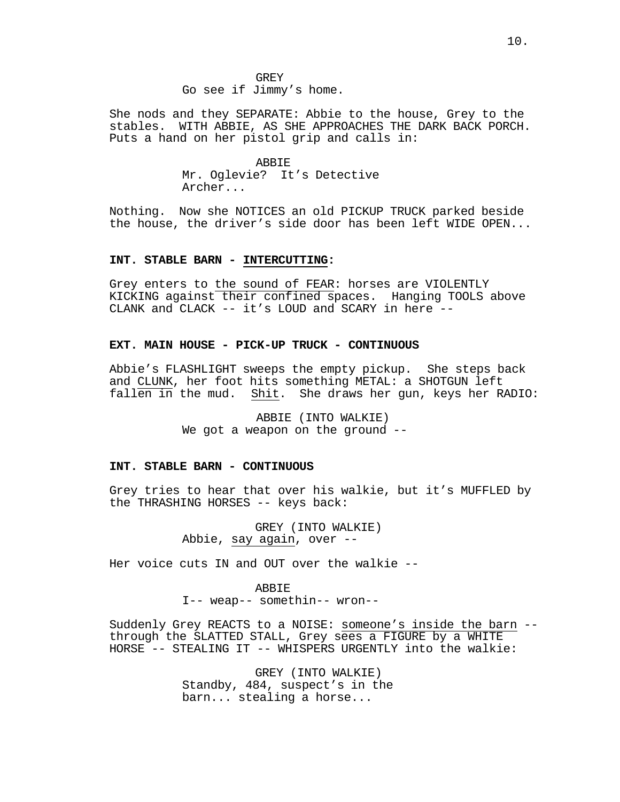GREY Go see if Jimmy's home.

She nods and they SEPARATE: Abbie to the house, Grey to the stables. WITH ABBIE, AS SHE APPROACHES THE DARK BACK PORCH. Puts a hand on her pistol grip and calls in:

> ABBIE Mr. Oglevie? It's Detective Archer...

Nothing. Now she NOTICES an old PICKUP TRUCK parked beside the house, the driver's side door has been left WIDE OPEN...

#### **INT. STABLE BARN - INTERCUTTING:**

Grey enters to the sound of FEAR: horses are VIOLENTLY KICKING against their confined spaces. Hanging TOOLS above CLANK and CLACK -- it's LOUD and SCARY in here --

# **EXT. MAIN HOUSE - PICK-UP TRUCK - CONTINUOUS**

Abbie's FLASHLIGHT sweeps the empty pickup. She steps back and CLUNK, her foot hits something METAL: a SHOTGUN left fallen in the mud. Shit. She draws her gun, keys her RADIO:

> ABBIE (INTO WALKIE) We got a weapon on the ground --

#### **INT. STABLE BARN - CONTINUOUS**

Grey tries to hear that over his walkie, but it's MUFFLED by the THRASHING HORSES -- keys back:

> GREY (INTO WALKIE) Abbie, say again, over --

Her voice cuts IN and OUT over the walkie --

ABBIE I-- weap-- somethin-- wron--

Suddenly Grey REACTS to a NOISE: someone's inside the barn - through the SLATTED STALL, Grey sees a FIGURE by a WHITE HORSE -- STEALING IT -- WHISPERS URGENTLY into the walkie:

> GREY (INTO WALKIE) Standby, 484, suspect's in the barn... stealing a horse...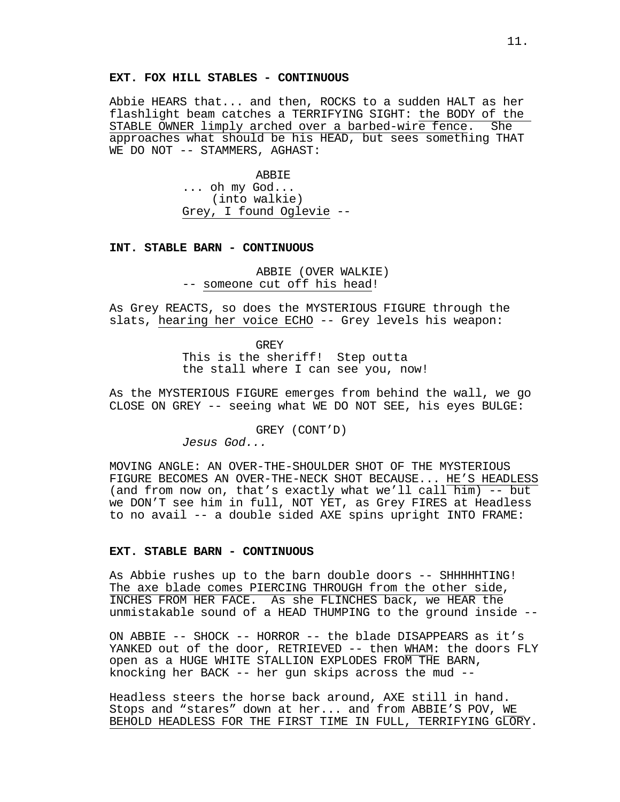# **EXT. FOX HILL STABLES - CONTINUOUS**

Abbie HEARS that... and then, ROCKS to a sudden HALT as her flashlight beam catches a TERRIFYING SIGHT: the BODY of the<br>STABLE OWNER limply arched over a barbed-wire fence. She STABLE OWNER limply arched over a barbed-wire fence. approaches what should be his HEAD, but sees something THAT WE DO NOT -- STAMMERS, AGHAST:

> ABBIE ... oh my God... (into walkie) Grey, I found Oglevie --

# **INT. STABLE BARN - CONTINUOUS**

ABBIE (OVER WALKIE) -- someone cut off his head!

As Grey REACTS, so does the MYSTERIOUS FIGURE through the slats, hearing her voice ECHO -- Grey levels his weapon:

> GREY This is the sheriff! Step outta the stall where I can see you, now!

As the MYSTERIOUS FIGURE emerges from behind the wall, we go CLOSE ON GREY -- seeing what WE DO NOT SEE, his eyes BULGE:

GREY (CONT'D)

*Jesus God...*

MOVING ANGLE: AN OVER-THE-SHOULDER SHOT OF THE MYSTERIOUS FIGURE BECOMES AN OVER-THE-NECK SHOT BECAUSE... HE'S HEADLESS (and from now on, that's exactly what we'll call  $\overline{\text{him}}$ ) -- but we DON'T see him in full, NOT YET, as Grey FIRES at Headless to no avail -- a double sided AXE spins upright INTO FRAME:

# **EXT. STABLE BARN - CONTINUOUS**

As Abbie rushes up to the barn double doors -- SHHHHHTING! The axe blade comes PIERCING THROUGH from the other side, INCHES FROM HER FACE. As she FLINCHES back, we HEAR the unmistakable sound of a HEAD THUMPING to the ground inside --

ON ABBIE -- SHOCK -- HORROR -- the blade DISAPPEARS as it's YANKED out of the door, RETRIEVED -- then WHAM: the doors FLY open as a HUGE WHITE STALLION EXPLODES FROM THE BARN, knocking her BACK -- her gun skips across the mud --

Headless steers the horse back around, AXE still in hand. Stops and "stares" down at her... and from ABBIE'S POV, WE BEHOLD HEADLESS FOR THE FIRST TIME IN FULL, TERRIFYING GLORY.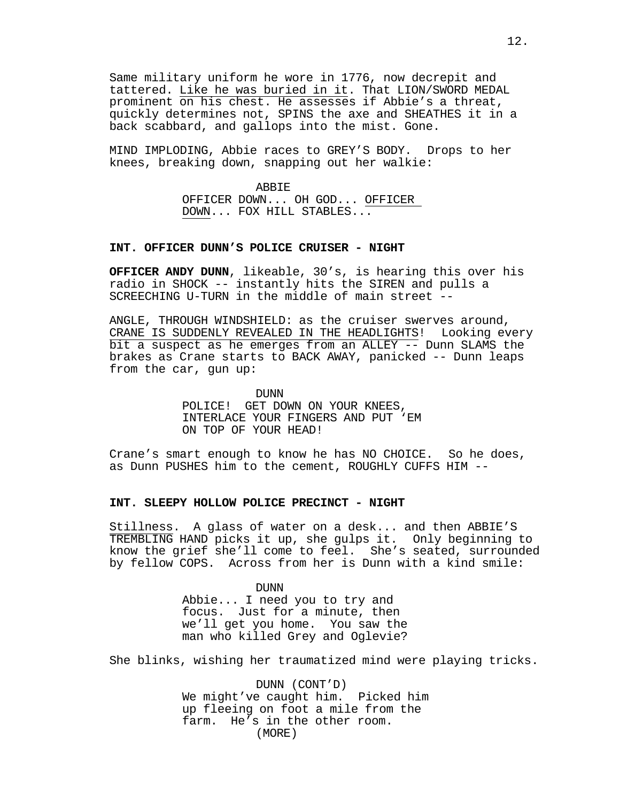Same military uniform he wore in 1776, now decrepit and tattered. Like he was buried in it. That LION/SWORD MEDAL prominent on his chest. He assesses if Abbie's a threat, quickly determines not, SPINS the axe and SHEATHES it in a back scabbard, and gallops into the mist. Gone.

MIND IMPLODING, Abbie races to GREY'S BODY. Drops to her knees, breaking down, snapping out her walkie:

> ABBIE OFFICER DOWN... OH GOD... OFFICER DOWN... FOX HILL STABLES...

### **INT. OFFICER DUNN'S POLICE CRUISER - NIGHT**

**OFFICER ANDY DUNN**, likeable, 30's, is hearing this over his radio in SHOCK -- instantly hits the SIREN and pulls a SCREECHING U-TURN in the middle of main street --

ANGLE, THROUGH WINDSHIELD: as the cruiser swerves around, CRANE IS SUDDENLY REVEALED IN THE HEADLIGHTS! Looking every bit a suspect as he emerges from an ALLEY -- Dunn SLAMS the brakes as Crane starts to BACK AWAY, panicked -- Dunn leaps from the car, gun up:

> DUNN POLICE! GET DOWN ON YOUR KNEES, INTERLACE YOUR FINGERS AND PUT 'EM ON TOP OF YOUR HEAD!

Crane's smart enough to know he has NO CHOICE. So he does, as Dunn PUSHES him to the cement, ROUGHLY CUFFS HIM --

### **INT. SLEEPY HOLLOW POLICE PRECINCT - NIGHT**

Stillness. A glass of water on a desk... and then ABBIE'S TREMBLING HAND picks it up, she gulps it. Only beginning to know the grief she'll come to feel. She's seated, surrounded by fellow COPS. Across from her is Dunn with a kind smile:

> DUNN Abbie... I need you to try and focus. Just for a minute, then we'll get you home. You saw the man who killed Grey and Oglevie?

She blinks, wishing her traumatized mind were playing tricks.

DUNN (CONT'D) We might've caught him. Picked him up fleeing on foot a mile from the farm. He's in the other room. (MORE)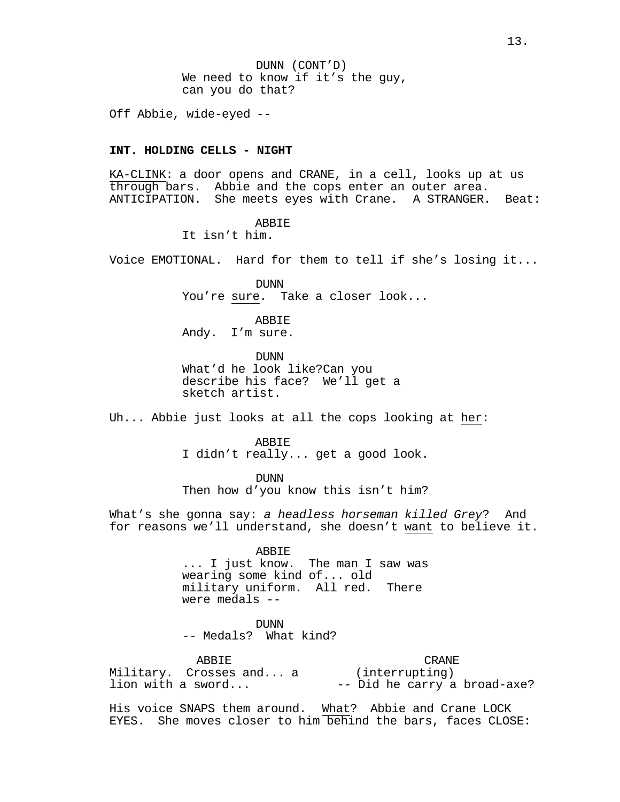DUNN (CONT'D) We need to know if it's the guy, can you do that?

Off Abbie, wide-eyed --

# **INT. HOLDING CELLS - NIGHT**

KA-CLINK: a door opens and CRANE, in a cell, looks up at us through bars. Abbie and the cops enter an outer area. ANTICIPATION. She meets eyes with Crane. A STRANGER. Beat:

ABBIE

It isn't him.

Voice EMOTIONAL. Hard for them to tell if she's losing it...

**DUNN** You're sure. Take a closer look...

ABBIE

Andy. I'm sure.

DUNN What'd he look like?Can you describe his face? We'll get a sketch artist.

Uh... Abbie just looks at all the cops looking at her:

**ABBIE** 

I didn't really... get a good look.

DUNN

Then how d'you know this isn't him?

What's she gonna say: *a headless horseman killed Grey*? And for reasons we'll understand, she doesn't want to believe it.

ABBIE

... I just know. The man I saw was wearing some kind of... old military uniform. All red. There were medals --

DUNN<br>-- Medals? What kind?

ABBIE Military. Crosses and... a lion with a sword... CRANE (interrupting) -- Did he carry a broad-axe?

His voice SNAPS them around. What? Abbie and Crane LOCK EYES. She moves closer to him behind the bars, faces CLOSE: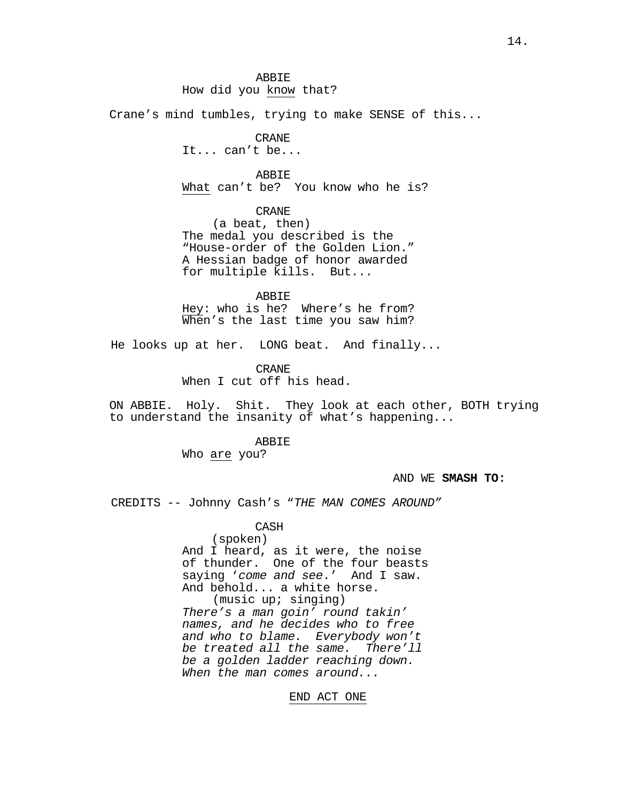# How did you know that?

Crane's mind tumbles, trying to make SENSE of this...

#### CRANE

It... can't be...

# ABBIE

What can't be? You know who he is?

CRANE

(a beat, then) The medal you described is the "House-order of the Golden Lion." A Hessian badge of honor awarded for multiple kills. But...

ABBIE Hey: who is he? Where's he from? When's the last time you saw him?

He looks up at her. LONG beat. And finally...

CRANE When I cut off his head.

ON ABBIE. Holy. Shit. They look at each other, BOTH trying to understand the insanity of what's happening...

### ABBIE

Who are you?

### AND WE **SMASH TO:**

CREDITS -- Johnny Cash's "*THE MAN COMES AROUND"*

CASH (spoken) And I heard, as it were, the noise of thunder. One of the four beasts saying '*come and see*.' And I saw. And behold... a white horse. (music up; singing) *There's a man goin' round takin' names, and he decides who to free and who to blame. Everybody won't* 

*be treated all the same. There'll be a golden ladder reaching down. When the man comes around...*

END ACT ONE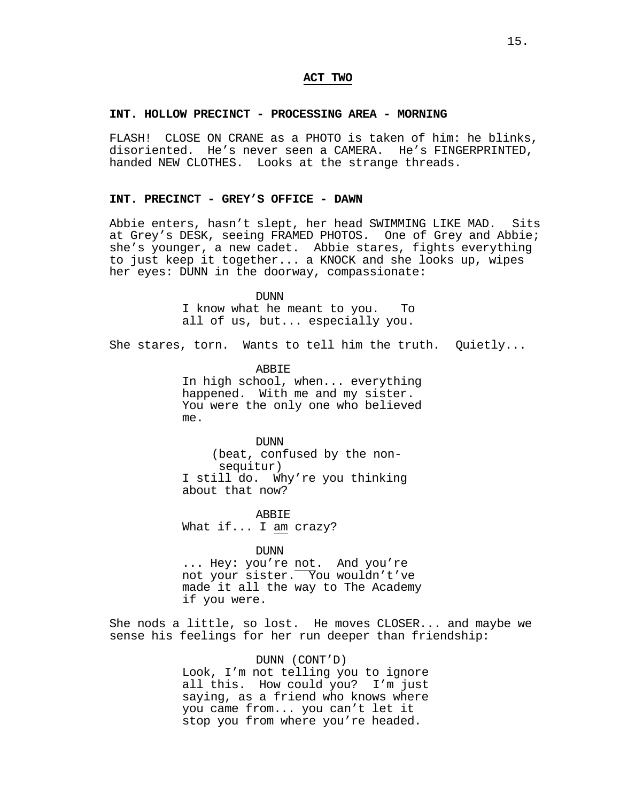# **ACT TWO**

# **INT. HOLLOW PRECINCT - PROCESSING AREA - MORNING**

FLASH! CLOSE ON CRANE as a PHOTO is taken of him: he blinks, disoriented. He's never seen a CAMERA. He's FINGERPRINTED, handed NEW CLOTHES. Looks at the strange threads.

# **INT. PRECINCT - GREY'S OFFICE - DAWN**

Abbie enters, hasn't slept, her head SWIMMING LIKE MAD. Sits at Grey's DESK, seeing FRAMED PHOTOS. One of Grey and Abbie; she's younger, a new cadet. Abbie stares, fights everything to just keep it together... a KNOCK and she looks up, wipes her eyes: DUNN in the doorway, compassionate:

DUNN

I know what he meant to you. To all of us, but... especially you.

She stares, torn. Wants to tell him the truth. Quietly...

ABBIE

In high school, when... everything happened. With me and my sister. You were the only one who believed me.

### **DUNN**

(beat, confused by the non-<br>sequitur) I still do. Why're you thinking about that now?

ABBIE What if... I am crazy?

DUNN

... Hey: you're not. And you're not your sister. You wouldn't've made it all the way to The Academy if you were.

She nods a little, so lost. He moves CLOSER... and maybe we sense his feelings for her run deeper than friendship:

### DUNN (CONT'D)

Look, I'm not telling you to ignore all this. How could you? I'm just saying, as a friend who knows where you came from... you can't let it stop you from where you're headed.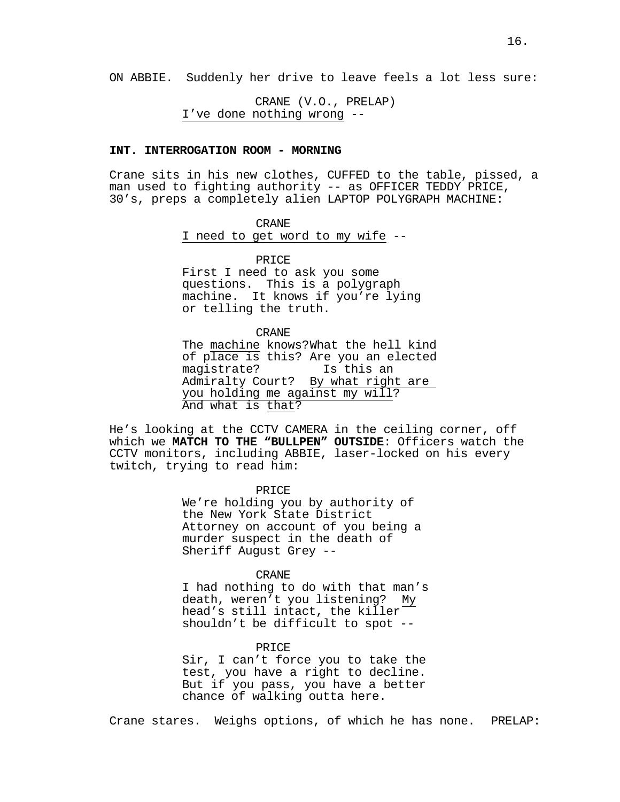ON ABBIE. Suddenly her drive to leave feels a lot less sure:

CRANE (V.O., PRELAP) I've done nothing wrong --

# **INT. INTERROGATION ROOM - MORNING**

Crane sits in his new clothes, CUFFED to the table, pissed, a man used to fighting authority -- as OFFICER TEDDY PRICE, 30's, preps a completely alien LAPTOP POLYGRAPH MACHINE:

# CRANE

I need to get word to my wife --

#### PRICE

First I need to ask you some questions. This is a polygraph machine. It knows if you're lying or telling the truth.

#### CRANE

The machine knows?What the hell kind of place is this? Are you an elected<br>magistrate? Is this an magistrate? Admiralty Court? By what right are you holding me against my will? And what is that?

He's looking at the CCTV CAMERA in the ceiling corner, off which we **MATCH TO THE "BULLPEN" OUTSIDE**: Officers watch the CCTV monitors, including ABBIE, laser-locked on his every twitch, trying to read him:

> PRICE We're holding you by authority of the New York State District Attorney on account of you being a murder suspect in the death of Sheriff August Grey --

### CRANE

I had nothing to do with that man's death, weren't you listening? My head's still intact, the killer shouldn't be difficult to spot --

### PRICE

Sir, I can't force you to take the test, you have a right to decline. But if you pass, you have a better chance of walking outta here.

Crane stares. Weighs options, of which he has none. PRELAP: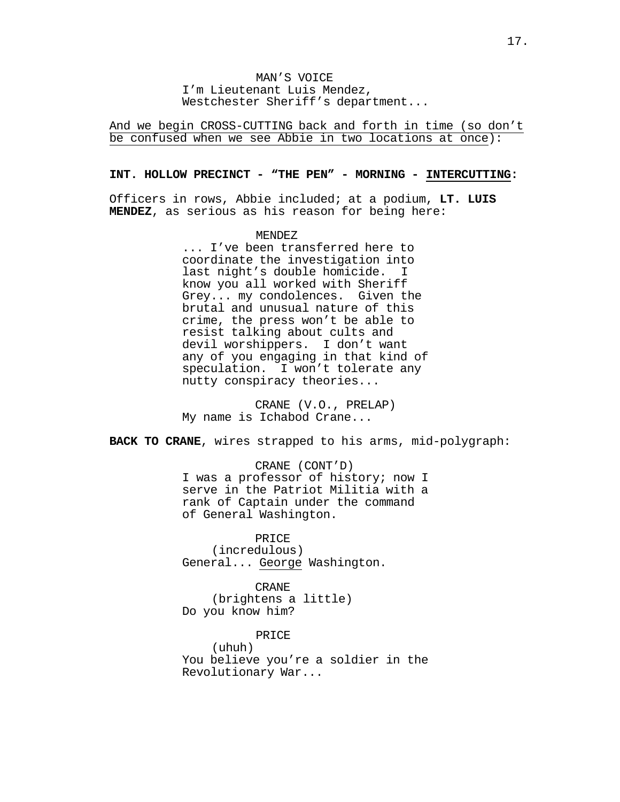MAN'S VOICE I'm Lieutenant Luis Mendez, Westchester Sheriff's department...

And we begin CROSS-CUTTING back and forth in time (so don't be confused when we see Abbie in two locations at once):

### **INT. HOLLOW PRECINCT - "THE PEN" - MORNING - INTERCUTTING:**

Officers in rows, Abbie included; at a podium, **LT. LUIS MENDEZ**, as serious as his reason for being here:

# MENDEZ

... I've been transferred here to coordinate the investigation into last night's double homicide. I know you all worked with Sheriff Grey... my condolences. Given the brutal and unusual nature of this crime, the press won't be able to resist talking about cults and devil worshippers. I don't want any of you engaging in that kind of speculation. I won't tolerate any nutty conspiracy theories...

CRANE (V.O., PRELAP) My name is Ichabod Crane...

**BACK TO CRANE**, wires strapped to his arms, mid-polygraph:

CRANE (CONT'D) I was a professor of history; now I serve in the Patriot Militia with a rank of Captain under the command of General Washington.

PRICE

(incredulous) General... George Washington.

CRANE (brightens a little) Do you know him?

PRICE

(uhuh) You believe you're a soldier in the Revolutionary War...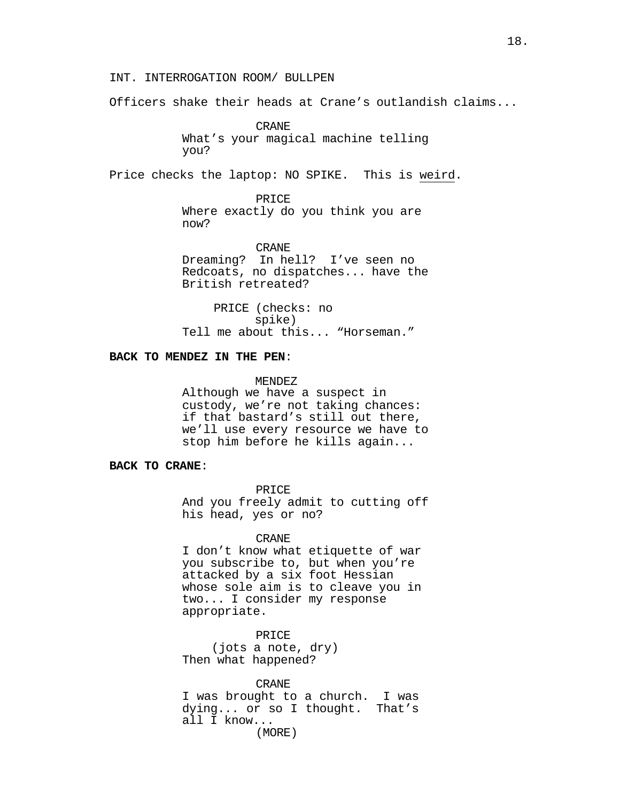INT. INTERROGATION ROOM/ BULLPEN

Officers shake their heads at Crane's outlandish claims...

CRANE What's your magical machine telling you?

Price checks the laptop: NO SPIKE. This is weird.

PRICE Where exactly do you think you are now?

CRANE

Dreaming? In hell? I've seen no Redcoats, no dispatches... have the British retreated?

PRICE (checks: no spike) Tell me about this... "Horseman."

# **BACK TO MENDEZ IN THE PEN**:

MENDEZ

Although we have a suspect in custody, we're not taking chances: if that bastard's still out there, we'll use every resource we have to stop him before he kills again...

**BACK TO CRANE**:

PRICE

And you freely admit to cutting off his head, yes or no?

CRANE

I don't know what etiquette of war you subscribe to, but when you're attacked by a six foot Hessian whose sole aim is to cleave you in two... I consider my response appropriate.

PRICE (jots a note, dry) Then what happened?

CRANE

I was brought to a church. I was dying... or so I thought. That's all I know...

(MORE)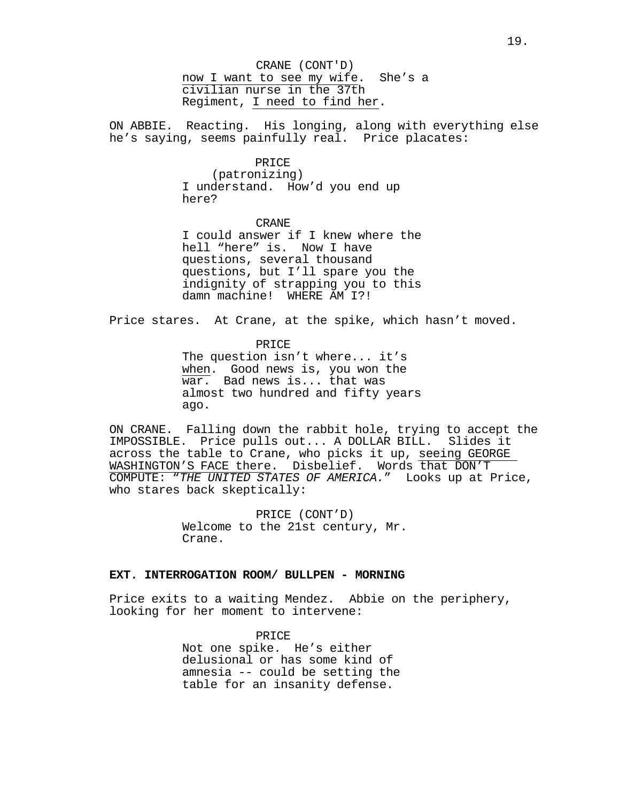CRANE (CONT'D) now I want to see my wife. She's a civilian nurse in the 37th Regiment, I need to find her.

ON ABBIE. Reacting. His longing, along with everything else he's saying, seems painfully real. Price placates:

#### PRICE

(patronizing) I understand. How'd you end up here?

CRANE I could answer if I knew where the hell "here" is. Now I have questions, several thousand questions, but I'll spare you the indignity of strapping you to this damn machine! WHERE AM I?!

Price stares. At Crane, at the spike, which hasn't moved.

PRICE The question isn't where... it's when. Good news is, you won the war. Bad news is... that was almost two hundred and fifty years ago.

ON CRANE. Falling down the rabbit hole, trying to accept the IMPOSSIBLE. Price pulls out... A DOLLAR BILL. Slides it across the table to Crane, who picks it up, seeing GEORGE WASHINGTON'S FACE there. Disbelief. Words that DON'T COMPUTE: "*THE UNITED STATES OF AMERICA.*" Looks up at Price, who stares back skeptically:

> PRICE (CONT'D) Welcome to the 21st century, Mr. Crane.

# **EXT. INTERROGATION ROOM/ BULLPEN - MORNING**

Price exits to a waiting Mendez. Abbie on the periphery, looking for her moment to intervene:

> PRICE Not one spike. He's either delusional or has some kind of amnesia -- could be setting the table for an insanity defense.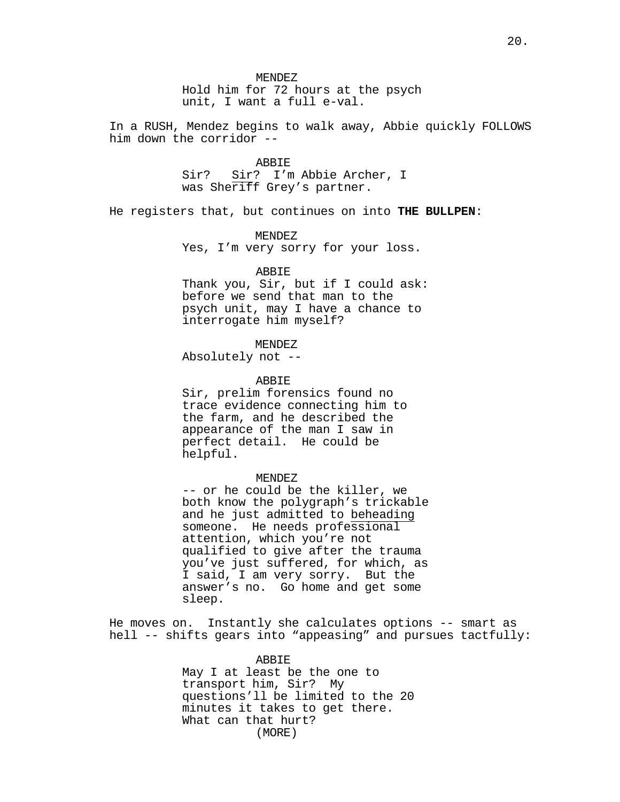Hold him for 72 hours at the psych unit, I want a full e-val.

In a RUSH, Mendez begins to walk away, Abbie quickly FOLLOWS him down the corridor --

> ABBIE Sir? Sir? I'm Abbie Archer, I was Sheriff Grey's partner.

He registers that, but continues on into **THE BULLPEN**:

MENDEZ Yes, I'm very sorry for your loss.

### ABBIE

Thank you, Sir, but if I could ask: before we send that man to the psych unit, may I have a chance to interrogate him myself?

# MENDEZ

Absolutely not --

#### ABBIE

Sir, prelim forensics found no trace evidence connecting him to the farm, and he described the appearance of the man I saw in perfect detail. He could be helpful.

#### MENDEZ

-- or he could be the killer, we both know the polygraph's trickable and he just admitted to beheading someone. He needs professional attention, which you're not qualified to give after the trauma you've just suffered, for which, as I said, I am very sorry. But the answer's no. Go home and get some sleep.

He moves on. Instantly she calculates options -- smart as hell -- shifts gears into "appeasing" and pursues tactfully:

> ABBIE May I at least be the one to transport him, Sir? My questions'll be limited to the 20 minutes it takes to get there. What can that hurt? (MORE)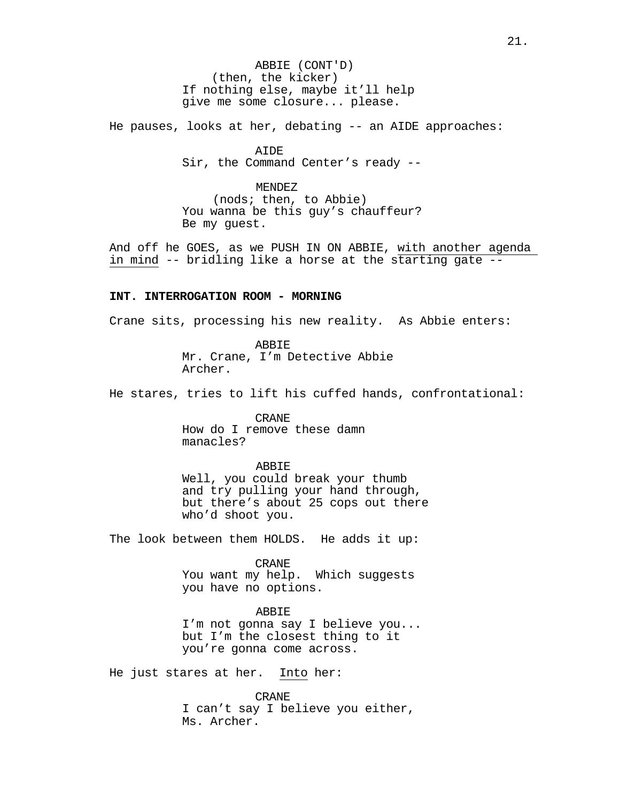ABBIE (CONT'D) (then, the kicker) If nothing else, maybe it'll help give me some closure... please.

He pauses, looks at her, debating -- an AIDE approaches:

AIDE Sir, the Command Center's ready --

#### MENDEZ

(nods; then, to Abbie) You wanna be this guy's chauffeur? Be my guest.

And off he GOES, as we PUSH IN ON ABBIE, with another agenda in mind -- bridling like a horse at the starting gate --

### **INT. INTERROGATION ROOM - MORNING**

Crane sits, processing his new reality. As Abbie enters:

ABBIE Mr. Crane, I'm Detective Abbie Archer.

He stares, tries to lift his cuffed hands, confrontational:

CRANE How do I remove these damn manacles?

# ABBIE

Well, you could break your thumb and try pulling your hand through, but there's about 25 cops out there who'd shoot you.

The look between them HOLDS. He adds it up:

CRANE You want my help. Which suggests you have no options.

ABBIE

I'm not gonna say I believe you... but I'm the closest thing to it you're gonna come across.

He just stares at her. Into her:

CRANE I can't say I believe you either, Ms. Archer.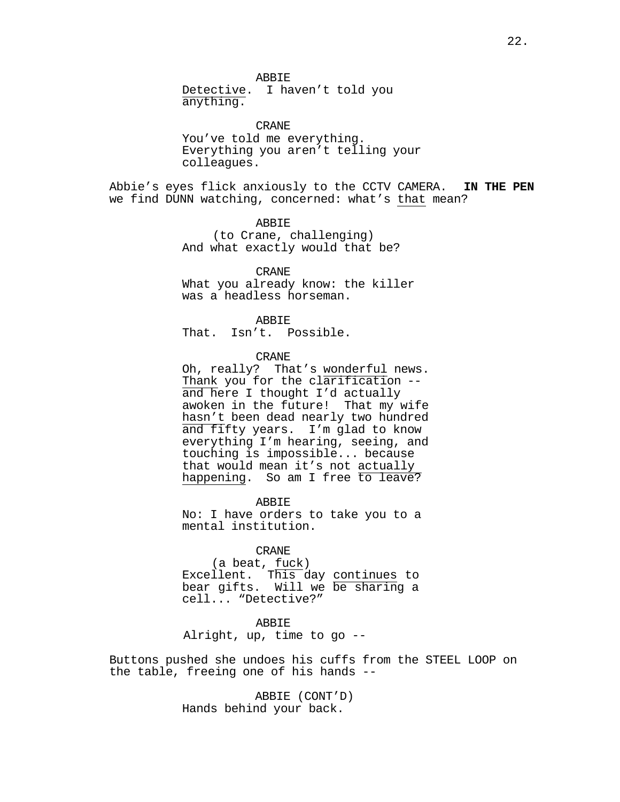Detective. I haven't told you anything.

CRANE You've told me everything. Everything you aren't telling your colleagues.

Abbie's eyes flick anxiously to the CCTV CAMERA. **IN THE PEN** we find DUNN watching, concerned: what's that mean?

> ABBIE (to Crane, challenging) And what exactly would that be?

CRANE What you already know: the killer was a headless horseman.

ABBIE

That. Isn't. Possible.

# CRANE

Oh, really? That's wonderful news.<br>Thank you for the clarification -and here I thought I'd actually awoken in the future! That my wife hasn't been dead nearly two hundred and fifty years. I'm glad to know everything I'm hearing, seeing, and touching is impossible... because that would mean it's not actually happening. So am I free to leave?

ABBIE No: I have orders to take you to a mental institution.

CRANE (a beat, fuck) Excellent. This day <u>continues</u> to bear gifts. Will we be sharing a cell... "Detective?"

**ABBIE** 

Alright, up, time to go --

Buttons pushed she undoes his cuffs from the STEEL LOOP on the table, freeing one of his hands --

> ABBIE (CONT'D) Hands behind your back.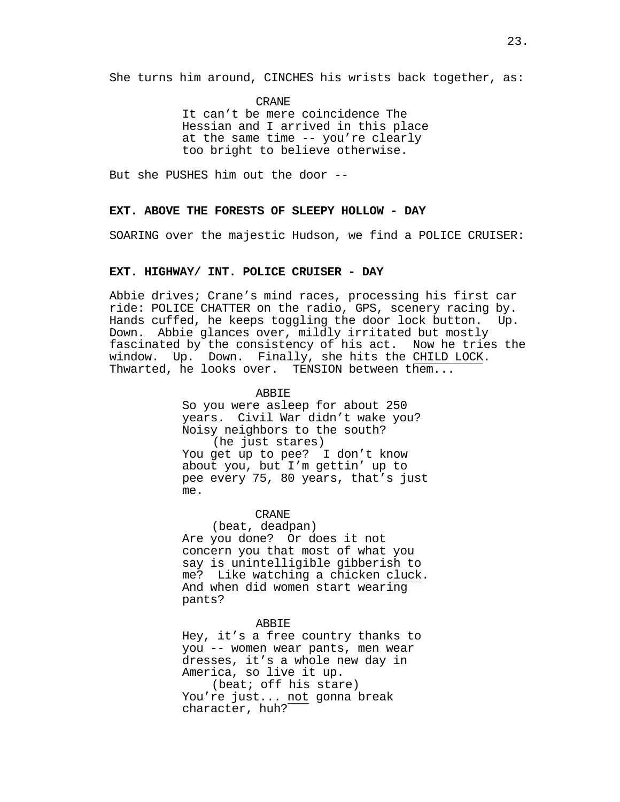She turns him around, CINCHES his wrists back together, as:

CRANE

It can't be mere coincidence The Hessian and I arrived in this place at the same time -- you're clearly too bright to believe otherwise.

But she PUSHES him out the door --

# **EXT. ABOVE THE FORESTS OF SLEEPY HOLLOW - DAY**

SOARING over the majestic Hudson, we find a POLICE CRUISER:

# **EXT. HIGHWAY/ INT. POLICE CRUISER - DAY**

Abbie drives; Crane's mind races, processing his first car ride: POLICE CHATTER on the radio, GPS, scenery racing by.<br>Hands cuffed, he keeps toggling the door lock button. Up. Hands cuffed, he keeps toggling the door lock button. Down. Abbie glances over, mildly irritated but mostly fascinated by the consistency of his act. Now he tries the window. Up. Down. Finally, she hits the CHILD LOCK. Thwarted, he looks over. TENSION between them...

ABBIE

So you were asleep for about 250 years. Civil War didn't wake you? Noisy neighbors to the south? (he just stares) You get up to pee? I don't know about you, but I'm gettin' up to pee every 75, 80 years, that's just me.

#### CRANE

(beat, deadpan) Are you done? Or does it not concern you that most of what you say is unintelligible gibberish to<br>me? Like watching a chicken cluck. And when did women start wearing. pants?

# ABBIE

Hey, it's a free country thanks to you -- women wear pants, men wear dresses, it's a whole new day in America, so live it up.

(beat; off his stare) You're just... not gonna break character, huh?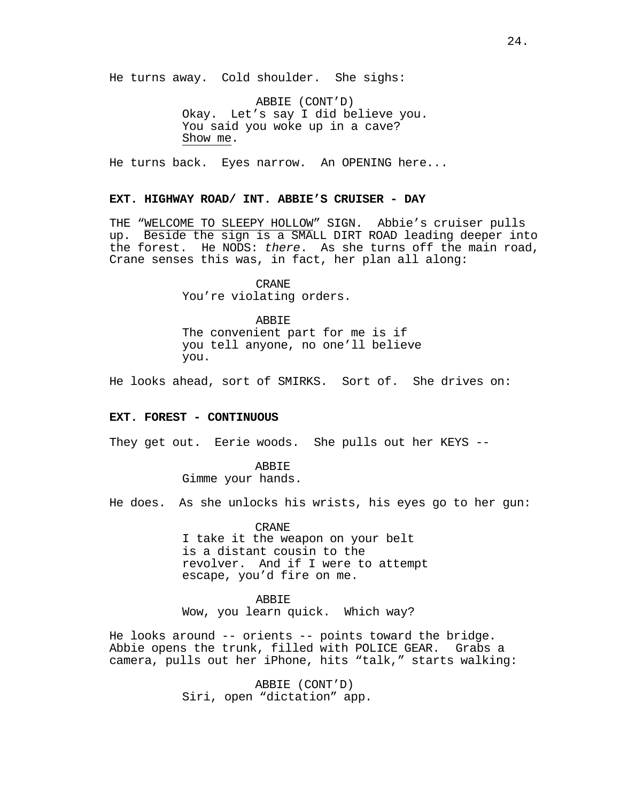He turns away. Cold shoulder. She sighs:

ABBIE (CONT'D) Okay. Let's say I did believe you. You said you woke up in a cave? Show me.

He turns back. Eyes narrow. An OPENING here...

# **EXT. HIGHWAY ROAD/ INT. ABBIE'S CRUISER - DAY**

THE "WELCOME TO SLEEPY HOLLOW" SIGN. Abbie's cruiser pulls up. Beside the sign is a SMALL DIRT ROAD leading deeper into the forest. He NODS: *there*. As she turns off the main road, Crane senses this was, in fact, her plan all along:

> CRANE You're violating orders.

ABBIE The convenient part for me is if you tell anyone, no one'll believe you.

He looks ahead, sort of SMIRKS. Sort of. She drives on:

# **EXT. FOREST - CONTINUOUS**

They get out. Eerie woods. She pulls out her KEYS --

ABBIE Gimme your hands.

He does. As she unlocks his wrists, his eyes go to her gun:

CRANE I take it the weapon on your belt is a distant cousin to the revolver. And if I were to attempt escape, you'd fire on me.

ABBIE Wow, you learn quick. Which way?

He looks around -- orients -- points toward the bridge. Abbie opens the trunk, filled with POLICE GEAR. Grabs a camera, pulls out her iPhone, hits "talk," starts walking:

> ABBIE (CONT'D) Siri, open "dictation" app.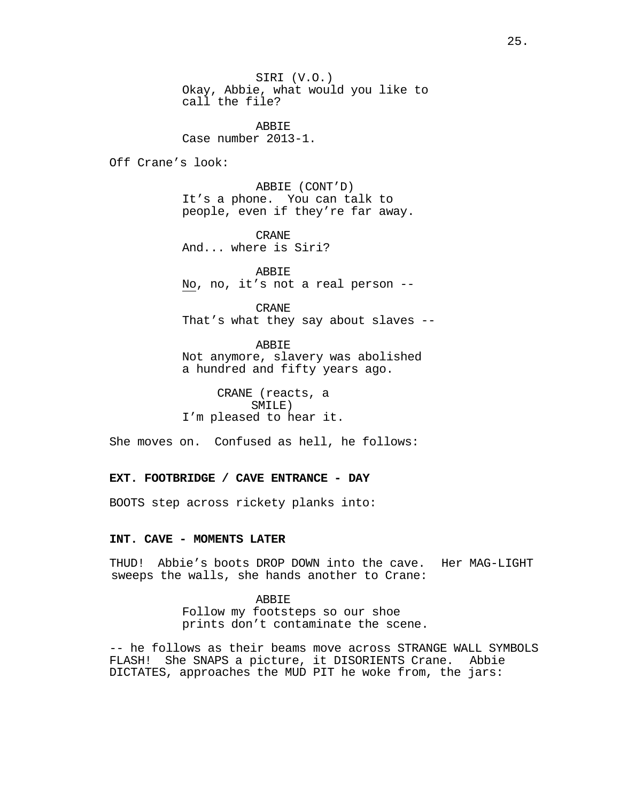SIRI (V.O.) Okay, Abbie, what would you like to call the file?

**ABBIE** Case number 2013-1.

Off Crane's look:

ABBIE (CONT'D) It's a phone. You can talk to people, even if they're far away.

CRANE And... where is Siri?

ABBIE No, no, it's not a real person --

CRANE That's what they say about slaves --

ABBIE Not anymore, slavery was abolished a hundred and fifty years ago.

CRANE (reacts, a SMILE) I'm pleased to hear it.

She moves on. Confused as hell, he follows:

# **EXT. FOOTBRIDGE / CAVE ENTRANCE - DAY**

BOOTS step across rickety planks into:

#### **INT. CAVE - MOMENTS LATER**

THUD! Abbie's boots DROP DOWN into the cave. Her MAG-LIGHT sweeps the walls, she hands another to Crane:

# ABBIE

Follow my footsteps so our shoe prints don't contaminate the scene.

-- he follows as their beams move across STRANGE WALL SYMBOLS FLASH! She SNAPS a picture, it DISORIENTS Crane. Abbie DICTATES, approaches the MUD PIT he woke from, the jars: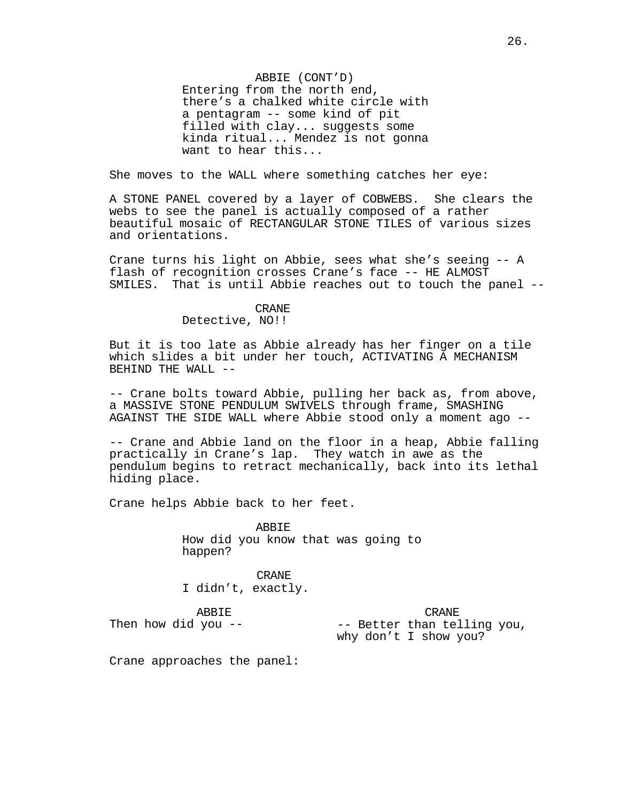ABBIE (CONT'D) Entering from the north end, there's a chalked white circle with a pentagram -- some kind of pit filled with clay... suggests some kinda ritual... Mendez is not gonna want to hear this...

She moves to the WALL where something catches her eye:

A STONE PANEL covered by a layer of COBWEBS. She clears the webs to see the panel is actually composed of a rather beautiful mosaic of RECTANGULAR STONE TILES of various sizes and orientations.

Crane turns his light on Abbie, sees what she's seeing -- A flash of recognition crosses Crane's face -- HE ALMOST SMILES. That is until Abbie reaches out to touch the panel --

# CRANE

# Detective, NO!!

But it is too late as Abbie already has her finger on a tile which slides a bit under her touch, ACTIVATING A MECHANISM BEHIND THE WALL --

-- Crane bolts toward Abbie, pulling her back as, from above, a MASSIVE STONE PENDULUM SWIVELS through frame, SMASHING AGAINST THE SIDE WALL where Abbie stood only a moment ago --

-- Crane and Abbie land on the floor in a heap, Abbie falling practically in Crane's lap. They watch in awe as the pendulum begins to retract mechanically, back into its lethal hiding place.

Crane helps Abbie back to her feet.

**ABBIE** How did you know that was going to happen?

CRANE I didn't, exactly.

ABBIE

CRANE

-- Better than telling you, why don't I show you?

Crane approaches the panel:

Then how did you --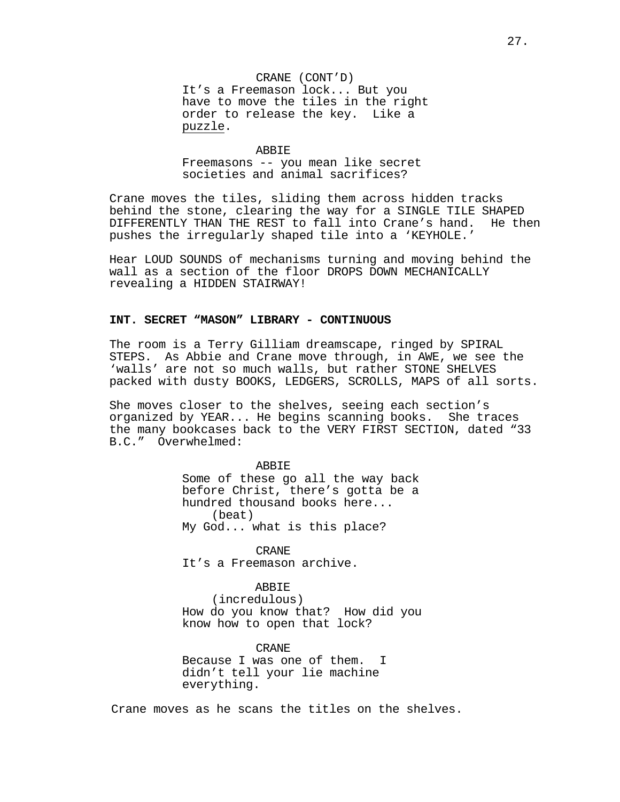CRANE (CONT'D) It's a Freemason lock... But you have to move the tiles in the right order to release the key. Like a puzzle.

#### ABBIE

Freemasons -- you mean like secret societies and animal sacrifices?

Crane moves the tiles, sliding them across hidden tracks behind the stone, clearing the way for a SINGLE TILE SHAPED<br>DIFFERENTLY THAN THE REST to fall into Crane's hand. He then DIFFERENTLY THAN THE REST to fall into Crane's hand. pushes the irregularly shaped tile into a 'KEYHOLE.'

Hear LOUD SOUNDS of mechanisms turning and moving behind the wall as a section of the floor DROPS DOWN MECHANICALLY revealing a HIDDEN STAIRWAY!

#### **INT. SECRET "MASON" LIBRARY - CONTINUOUS**

The room is a Terry Gilliam dreamscape, ringed by SPIRAL STEPS. As Abbie and Crane move through, in AWE, we see the 'walls' are not so much walls, but rather STONE SHELVES packed with dusty BOOKS, LEDGERS, SCROLLS, MAPS of all sorts.

She moves closer to the shelves, seeing each section's<br>organized by YEAR... He begins scanning books. She traces organized by YEAR... He begins scanning books. the many bookcases back to the VERY FIRST SECTION, dated "33 B.C." Overwhelmed:

> ABBIE Some of these go all the way back before Christ, there's gotta be a hundred thousand books here... (beat) My God... what is this place?

CRANE It's a Freemason archive.

# ABBIE

(incredulous) How do you know that? How did you know how to open that lock?

CRANE

Because I was one of them. I didn't tell your lie machine everything.

Crane moves as he scans the titles on the shelves.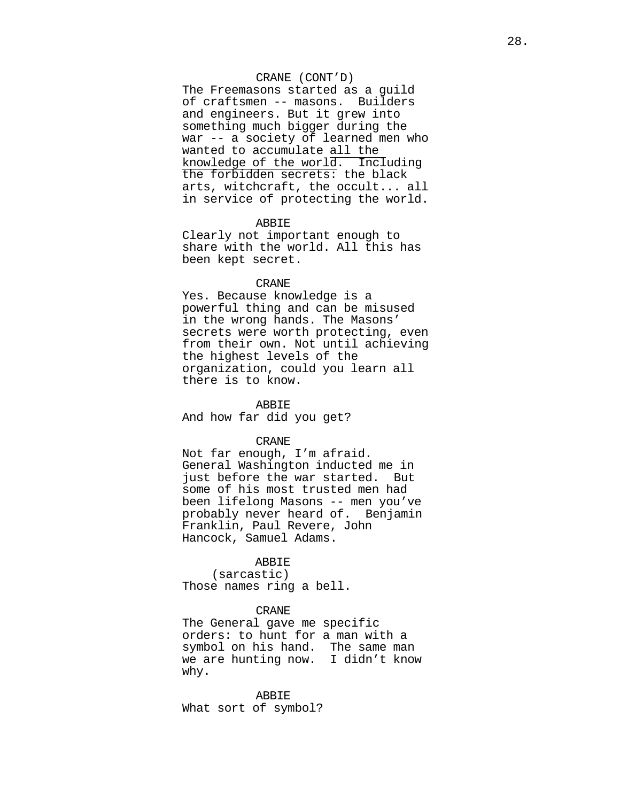# CRANE (CONT'D)

The Freemasons started as a guild of craftsmen -- masons. Builders and engineers. But it grew into something much bigger during the war -- a society of learned men who wanted to accumulate all the knowledge of the worl $\overline{d}$ . Including the forbidden secrets: the black arts, witchcraft, the occult... all in service of protecting the world.

# ABBIE

Clearly not important enough to share with the world. All this has been kept secret.

### CRANE

Yes. Because knowledge is a powerful thing and can be misused in the wrong hands. The Masons' secrets were worth protecting, even from their own. Not until achieving the highest levels of the organization, could you learn all there is to know.

#### ABBIE

And how far did you get?

# CRANE

Not far enough, I'm afraid. General Washington inducted me in just before the war started. But some of his most trusted men had been lifelong Masons -- men you've probably never heard of. Benjamin Franklin, Paul Revere, John Hancock, Samuel Adams.

# ABBIE

(sarcastic) Those names ring a bell.

# CRANE

The General gave me specific orders: to hunt for a man with a symbol on his hand. The same man we are hunting now. I didn't know why.

ABBIE What sort of symbol?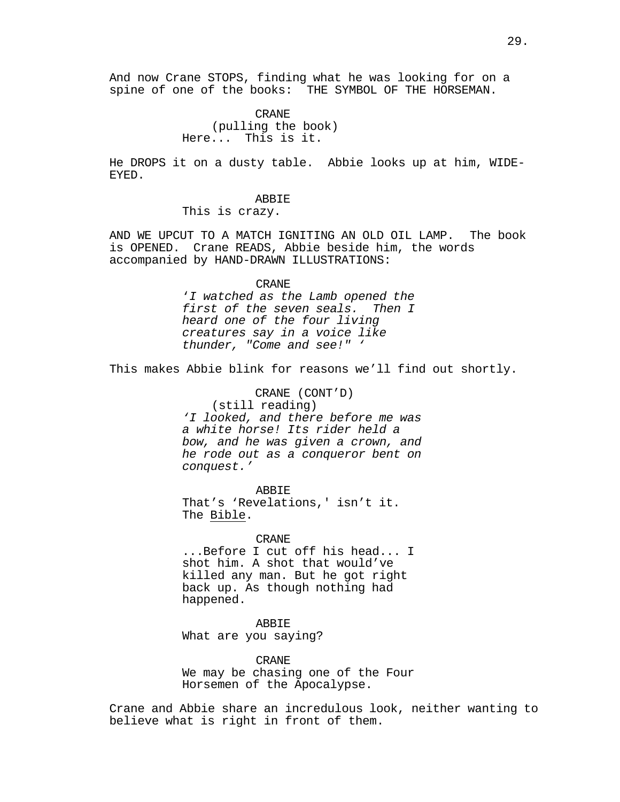And now Crane STOPS, finding what he was looking for on a spine of one of the books: THE SYMBOL OF THE HORSEMAN.

> CRANE (pulling the book) Here... This is it.

He DROPS it on a dusty table. Abbie looks up at him, WIDE-EYED.

ABBIE

This is crazy.

AND WE UPCUT TO A MATCH IGNITING AN OLD OIL LAMP. The book is OPENED. Crane READS, Abbie beside him, the words accompanied by HAND-DRAWN ILLUSTRATIONS:

#### CRANE

'*I watched as the Lamb opened the first of the seven seals. Then I heard one of the four living creatures say in a voice like thunder, "Come and see!" '*

This makes Abbie blink for reasons we'll find out shortly.

CRANE (CONT'D)

(still reading) *'I looked, and there before me was a white horse! Its rider held a bow, and he was given a crown, and he rode out as a conqueror bent on conquest.'*

ABBIE That's 'Revelations,' isn't it. The Bible.

CRANE ...Before I cut off his head... I shot him. A shot that would've killed any man. But he got right back up. As though nothing had happened.

# ABBIE

What are you saying?

CRANE We may be chasing one of the Four Horsemen of the Apocalypse.

Crane and Abbie share an incredulous look, neither wanting to believe what is right in front of them.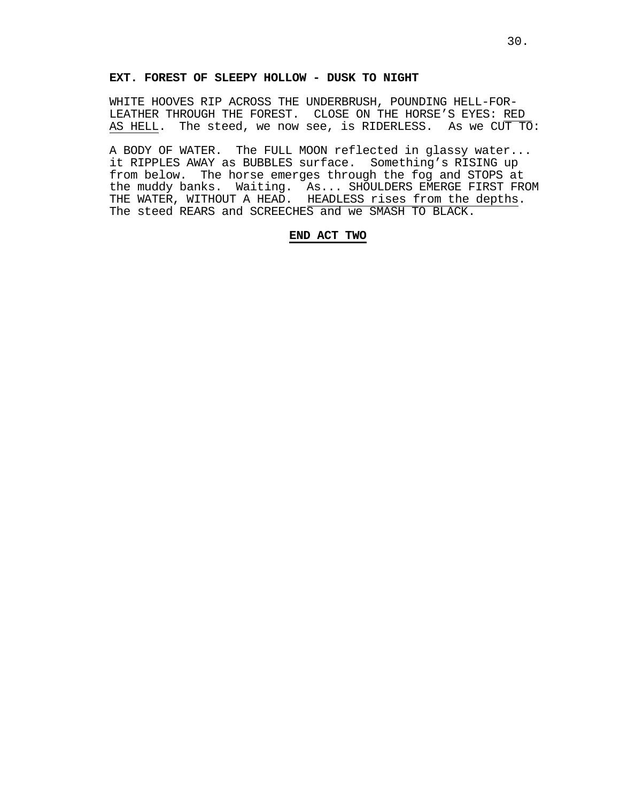# **EXT. FOREST OF SLEEPY HOLLOW - DUSK TO NIGHT**

WHITE HOOVES RIP ACROSS THE UNDERBRUSH, POUNDING HELL-FOR-<br>LEATHER THROUGH THE FOREST. CLOSE ON THE HORSE'S EYES: RED AS HELL. The steed, we now see, is RIDERLESS. As we CUT TO:

A BODY OF WATER. The FULL MOON reflected in glassy water... it RIPPLES AWAY as BUBBLES surface. Something's RISING up from below. The horse emerges through the fog and STOPS at the muddy banks. Waiting. As... SHOULDERS EMERGE FIRST FROM THE WATER, WITHOUT A HEAD. HEADLESS rises from the depths. The steed REARS and SCREECHES and we SMASH TO BLACK.

# **END ACT TWO**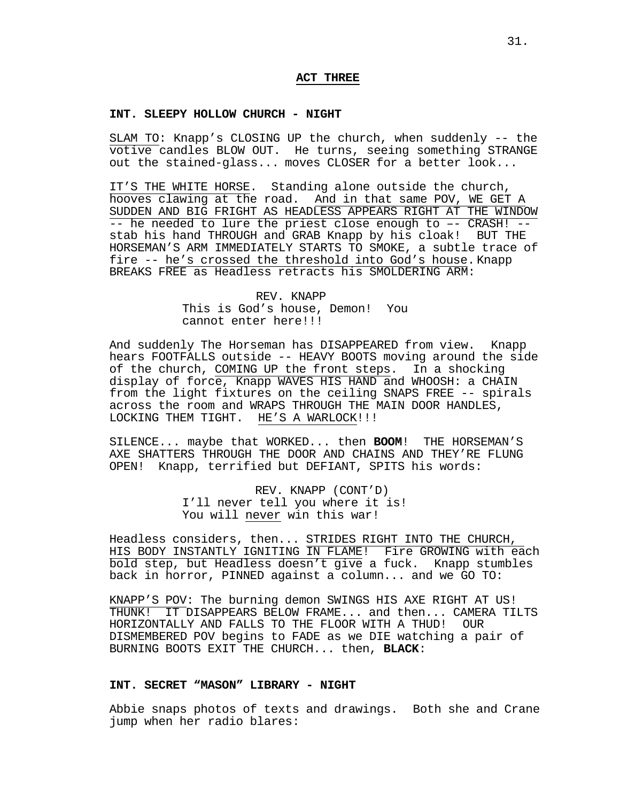# **ACT THREE**

# **INT. SLEEPY HOLLOW CHURCH - NIGHT**

SLAM TO: Knapp's CLOSING UP the church, when suddenly -- the votive candles BLOW OUT. He turns, seeing something STRANGE out the stained-glass... moves CLOSER for a better look...

IT'S THE WHITE HORSE. Standing alone outside the church, hooves clawing at the road. And in that same POV, WE GET A SUDDEN AND BIG FRIGHT AS HEADLESS APPEARS RIGHT AT THE WINDOW -- he needed to lure the priest close enough to –- CRASH! - stab his hand THROUGH and GRAB Knapp by his cloak! BUT THE HORSEMAN'S ARM IMMEDIATELY STARTS TO SMOKE, a subtle trace of fire -- he's crossed the threshold into God's house. Knapp BREAKS FREE as Headless retracts his SMOLDERING ARM:

# REV. KNAPP This is God's house, Demon! You cannot enter here!!!

And suddenly The Horseman has DISAPPEARED from view. Knapp hears FOOTFALLS outside -- HEAVY BOOTS moving around the side of the church, COMING UP the front steps. In a shocking display of force, Knapp WAVES HIS HAND and WHOOSH: a CHAIN from the light fixtures on the ceiling SNAPS FREE -- spirals across the room and WRAPS THROUGH THE MAIN DOOR HANDLES, LOCKING THEM TIGHT. HE'S A WARLOCK!!!

SILENCE... maybe that WORKED... then **BOOM**! THE HORSEMAN'S AXE SHATTERS THROUGH THE DOOR AND CHAINS AND THEY'RE FLUNG OPEN! Knapp, terrified but DEFIANT, SPITS his words:

> REV. KNAPP (CONT'D) I'll never tell you where it is! You will never win this war!

Headless considers, then... STRIDES RIGHT INTO THE CHURCH, HIS BODY INSTANTLY IGNITING IN FLAME! Fire GROWING with each bold step, but Headless doesn't give a fuck. Knapp stumbles back in horror, PINNED against a column... and we GO TO:

KNAPP'S POV: The burning demon SWINGS HIS AXE RIGHT AT US! THUNK! IT DISAPPEARS BELOW FRAME... and then... CAMERA TILTS HORIZONTALLY AND FALLS TO THE FLOOR WITH A THUD! DISMEMBERED POV begins to FADE as we DIE watching a pair of BURNING BOOTS EXIT THE CHURCH... then, **BLACK**:

# **INT. SECRET "MASON" LIBRARY - NIGHT**

Abbie snaps photos of texts and drawings. Both she and Crane jump when her radio blares: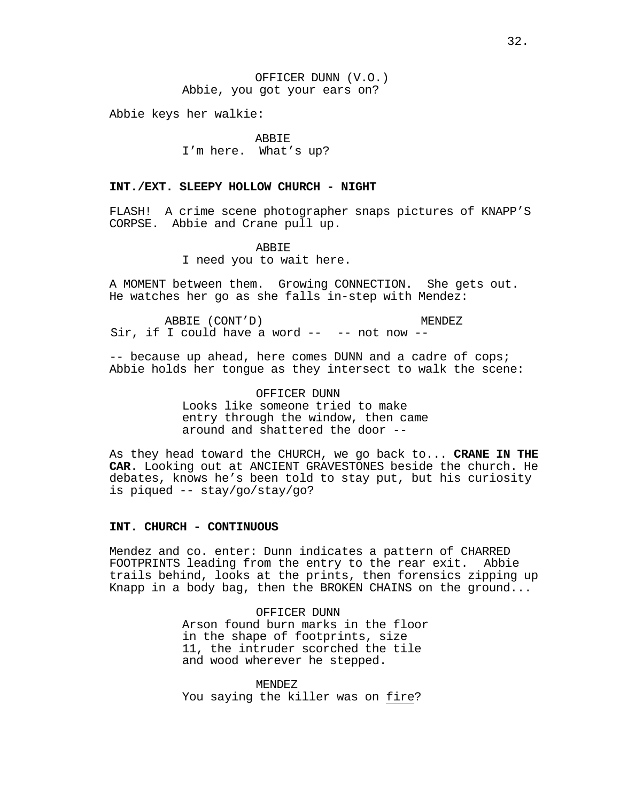Abbie keys her walkie:

# ABBIE

I'm here. What's up?

# **INT./EXT. SLEEPY HOLLOW CHURCH - NIGHT**

FLASH! A crime scene photographer snaps pictures of KNAPP'S CORPSE. Abbie and Crane pull up.

#### ABBIE

I need you to wait here.

A MOMENT between them. Growing CONNECTION. She gets out. He watches her go as she falls in-step with Mendez:

ABBIE (CONT'D) ABBIE (CONT'D) MENDEZ<br>Sir, if I could have a word -- -- not now --

-- because up ahead, here comes DUNN and a cadre of cops; Abbie holds her tongue as they intersect to walk the scene:

> OFFICER DUNN Looks like someone tried to make entry through the window, then came around and shattered the door --

As they head toward the CHURCH, we go back to... **CRANE IN THE CAR**. Looking out at ANCIENT GRAVESTONES beside the church. He debates, knows he's been told to stay put, but his curiosity is piqued -- stay/go/stay/go?

# **INT. CHURCH - CONTINUOUS**

Mendez and co. enter: Dunn indicates a pattern of CHARRED FOOTPRINTS leading from the entry to the rear exit. Abbie trails behind, looks at the prints, then forensics zipping up Knapp in a body bag, then the BROKEN CHAINS on the ground...

> OFFICER DUNN Arson found burn marks in the floor in the shape of footprints, size 11, the intruder scorched the tile and wood wherever he stepped.

MENDEZ You saying the killer was on fire?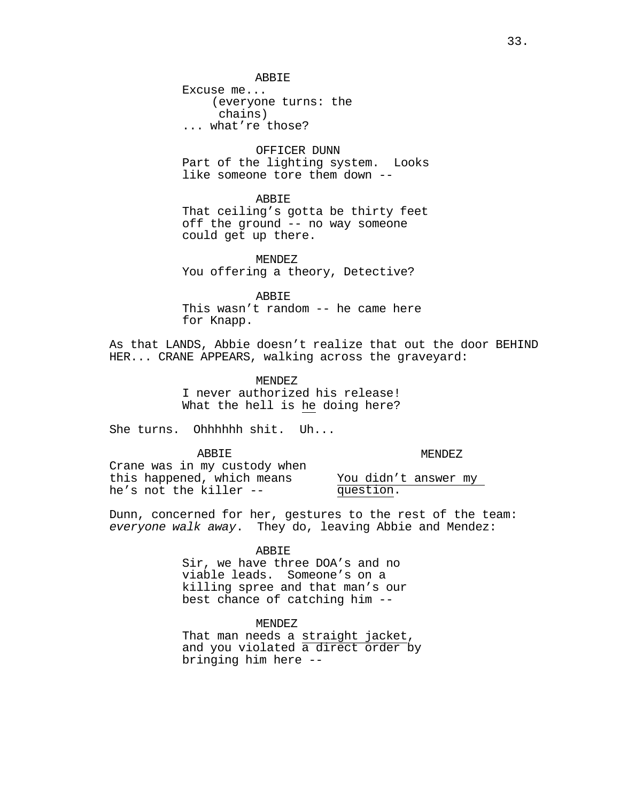Excuse me... (everyone turns: the ... what're those?

# OFFICER DUNN

Part of the lighting system. Looks like someone tore them down --

### ABBIE

That ceiling's gotta be thirty feet off the ground -- no way someone could get up there.

MENDEZ You offering a theory, Detective?

ABBIE This wasn't random -- he came here for Knapp.

As that LANDS, Abbie doesn't realize that out the door BEHIND HER... CRANE APPEARS, walking across the graveyard:

> MENDEZ I never authorized his release! What the hell is he doing here?

She turns. Ohhhhhh shit. Uh...

ABBIE

MENDEZ

Crane was in my custody when this happened, which means he's not the killer --

You didn't answer my question.

Dunn, concerned for her, gestures to the rest of the team: *everyone walk away*. They do, leaving Abbie and Mendez:

# ABBIE

Sir, we have three DOA's and no viable leads. Someone's on a killing spree and that man's our best chance of catching him --

MENDEZ<br>That man needs a straight jacket, and you violated a direct order by bringing him here --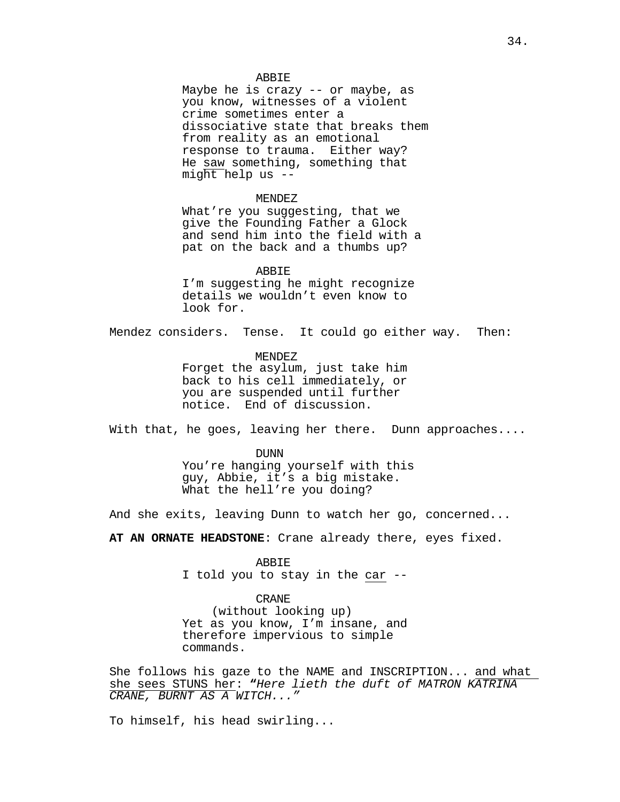### ABBIE

Maybe he is crazy -- or maybe, as you know, witnesses of a violent crime sometimes enter a dissociative state that breaks them from reality as an emotional response to trauma. Either way? He saw something, something that might help us --

### MENDEZ

What're you suggesting, that we give the Founding Father a Glock and send him into the field with a pat on the back and a thumbs up?

ABBIE I'm suggesting he might recognize details we wouldn't even know to look for.

Mendez considers. Tense. It could go either way. Then:

MENDEZ Forget the asylum, just take him back to his cell immediately, or you are suspended until further notice. End of discussion.

With that, he goes, leaving her there. Dunn approaches....

DUNN You're hanging yourself with this guy, Abbie, it's a big mistake. What the hell're you doing?

And she exits, leaving Dunn to watch her go, concerned...

**AT AN ORNATE HEADSTONE**: Crane already there, eyes fixed.

### ABBIE

I told you to stay in the car --

#### CRANE

(without looking up) Yet as you know, I'm insane, and therefore impervious to simple commands.

She follows his gaze to the NAME and INSCRIPTION... and what she sees STUNS her: **"***Here lieth the duft of MATRON KATRINA CRANE, BURNT AS A WITCH..."*

To himself, his head swirling...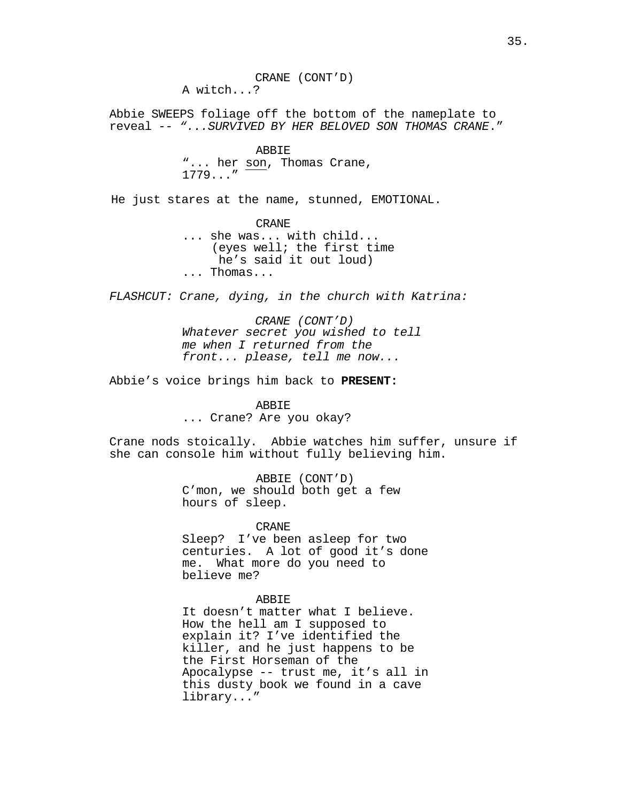Abbie SWEEPS foliage off the bottom of the nameplate to reveal -- *"...SURVIVED BY HER BELOVED SON THOMAS CRANE*."

# ABBIE "... her son, Thomas Crane, 1779..."

He just stares at the name, stunned, EMOTIONAL.

CRANE ... she was... with child... (eyes well; the first time he's said it out loud)<br>... Thomas...

*FLASHCUT: Crane, dying, in the church with Katrina:* 

*CRANE (CONT'D) Whatever secret you wished to tell me when I returned from the front... please, tell me now...*

Abbie's voice brings him back to **PRESENT:**

#### ABBIE

... Crane? Are you okay?

Crane nods stoically. Abbie watches him suffer, unsure if she can console him without fully believing him.

> ABBIE (CONT'D) C'mon, we should both get a few hours of sleep.

> > CRANE

Sleep? I've been asleep for two centuries. A lot of good it's done me. What more do you need to believe me?

### ABBIE

It doesn't matter what I believe. How the hell am I supposed to explain it? I've identified the killer, and he just happens to be the First Horseman of the Apocalypse -- trust me, it's all in this dusty book we found in a cave library..."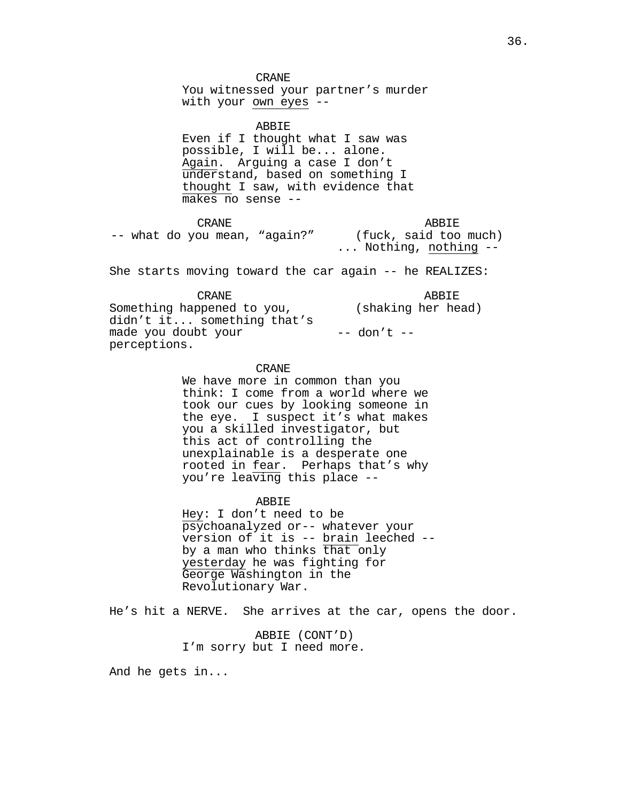CRANE You witnessed your partner's murder with your own eyes --

ABBIE Even if I thought what I saw was possible, I will be... alone. Again. Arguing a case I don't understand, based on something I thought I saw, with evidence that makes no sense --

CRANE -- what do you mean, "again?" ABBIE<br>(fuck, said too much)  $\dots$  Nothing, nothing --

She starts moving toward the car again -- he REALIZES:

CRANE Something happened to you, didn't it... something that's made you doubt your perceptions. ABBIE (shaking her head) -- don't --

# CRANE

We have more in common than you think: I come from a world where we took our cues by looking someone in the eye. I suspect it's what makes you a skilled investigator, but this act of controlling the unexplainable is a desperate one rooted in fear. Perhaps that's why you're leaving this place --

#### ABBIE

Hey: I don't need to be psychoanalyzed or-- whatever your version of it is -- <u>brain</u> leeched --<br>by a man who thinks that only yesterday he was fighting for George Washington in the Revolutionary War.

He's hit a NERVE. She arrives at the car, opens the door.

ABBIE (CONT'D) I'm sorry but I need more.

And he gets in...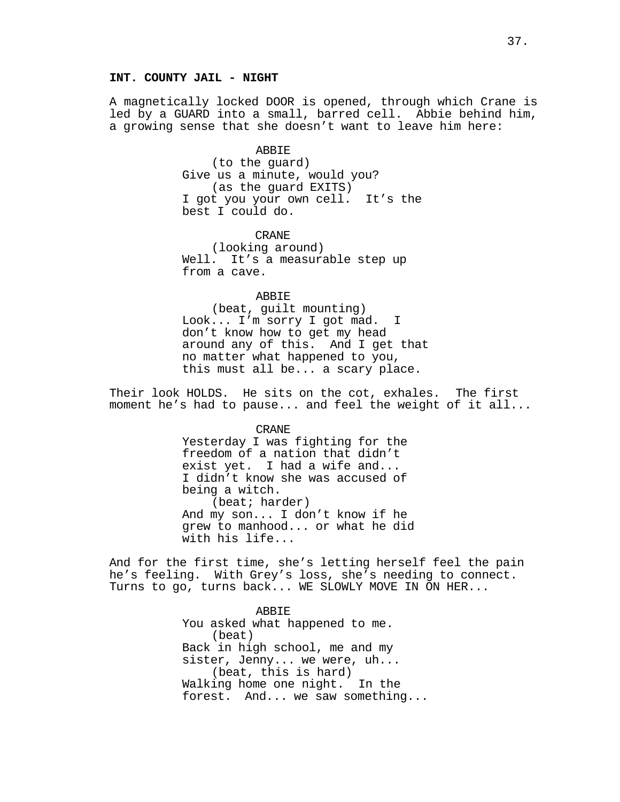# **INT. COUNTY JAIL - NIGHT**

A magnetically locked DOOR is opened, through which Crane is led by a GUARD into a small, barred cell. Abbie behind him, a growing sense that she doesn't want to leave him here:

#### ABBIE

(to the guard) Give us a minute, would you? (as the guard EXITS) I got you your own cell. It's the best I could do.

CRANE (looking around) Well. It's a measurable step up from a cave.

ABBIE

(beat, guilt mounting) Look... I'm sorry I got mad. I don't know how to get my head around any of this. And I get that no matter what happened to you, this must all be... a scary place.

Their look HOLDS. He sits on the cot, exhales. The first moment he's had to pause... and feel the weight of it all...

CRANE

Yesterday I was fighting for the freedom of a nation that didn't exist yet. I had a wife and... I didn't know she was accused of being a witch. (beat; harder) And my son... I don't know if he grew to manhood... or what he did with his life...

And for the first time, she's letting herself feel the pain he's feeling. With Grey's loss, she's needing to connect. Turns to go, turns back... WE SLOWLY MOVE IN ON HER...

> ABBIE You asked what happened to me. (beat) Back in high school, me and my sister, Jenny... we were, uh... (beat, this is hard) Walking home one night. In the forest. And... we saw something...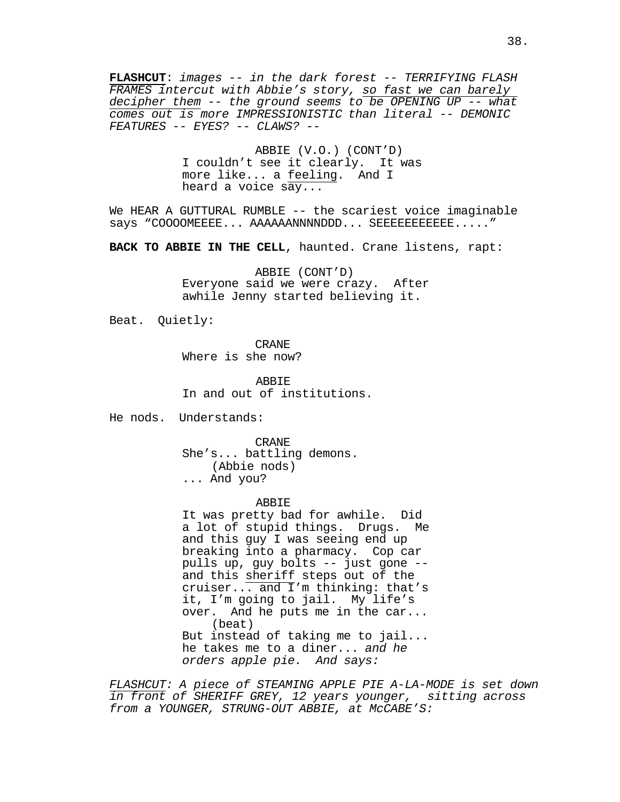**FLASHCUT**: *images -- in the dark forest -- TERRIFYING FLASH FRAMES intercut with Abbie's story, so fast we can barely decipher them -- the ground seems to be OPENING UP -- what comes out is more IMPRESSIONISTIC than literal -- DEMONIC FEATURES -- EYES? -- CLAWS? --*

> ABBIE (V.O.) (CONT'D) I couldn't see it clearly. It was more like... a feeling. And I heard a voice say...

We HEAR A GUTTURAL RUMBLE -- the scariest voice imaginable says "COOOOMEEEE... AAAAAANNNNDDD... SEEEEEEEEEEE....."

**BACK TO ABBIE IN THE CELL**, haunted. Crane listens, rapt:

ABBIE (CONT'D) Everyone said we were crazy. After awhile Jenny started believing it.

Beat. Quietly:

CRANE Where is she now?

ABBIE In and out of institutions.

He nods. Understands:

CRANE She's... battling demons. (Abbie nods) ... And you?

ABBIE

It was pretty bad for awhile. Did a lot of stupid things. Drugs. Me and this guy I was seeing end up breaking into a pharmacy. Cop car pulls up, guy bolts -- just gone - and this sheriff steps out of the cruiser... and I'm thinking: that's it, I'm going to jail. My life's over. And he puts me in the car... (beat) But instead of taking me to jail... he takes me to a diner... *and he orders apple pie. And says:*

*FLASHCUT: A piece of STEAMING APPLE PIE A-LA-MODE is set down in front of SHERIFF GREY, 12 years younger, sitting across from a YOUNGER, STRUNG-OUT ABBIE, at McCABE'S:*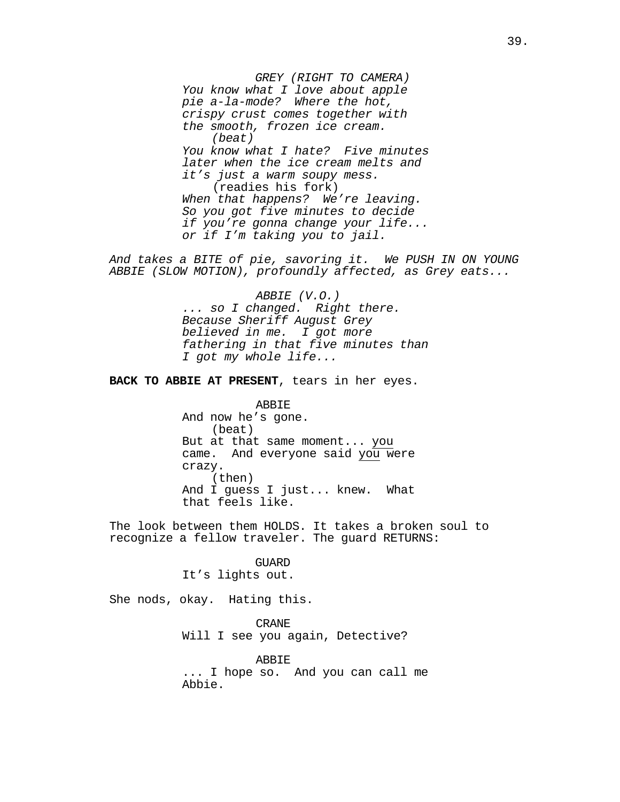*GREY (RIGHT TO CAMERA) You know what I love about apple pie a-la-mode? Where the hot, crispy crust comes together with the smooth, frozen ice cream. (beat) You know what I hate? Five minutes later when the ice cream melts and it's just a warm soupy mess.* (readies his fork) *When that happens? We're leaving. So you got five minutes to decide if you're gonna change your life... or if I'm taking you to jail.*

*And takes a BITE of pie, savoring it. We PUSH IN ON YOUNG ABBIE (SLOW MOTION), profoundly affected, as Grey eats...*

> *ABBIE (V.O.) ... so I changed. Right there. Because Sheriff August Grey believed in me. I got more fathering in that five minutes than I got my whole life...*

**BACK TO ABBIE AT PRESENT**, tears in her eyes.

ABBIE And now he's gone. (beat) But at that same moment... you came. And everyone said you were crazy. (then) And I guess I just... knew. What that feels like.

The look between them HOLDS. It takes a broken soul to recognize a fellow traveler. The guard RETURNS:

### GUARD

It's lights out.

She nods, okay. Hating this.

CRANE Will I see you again, Detective?

ABBIE ... I hope so. And you can call me Abbie.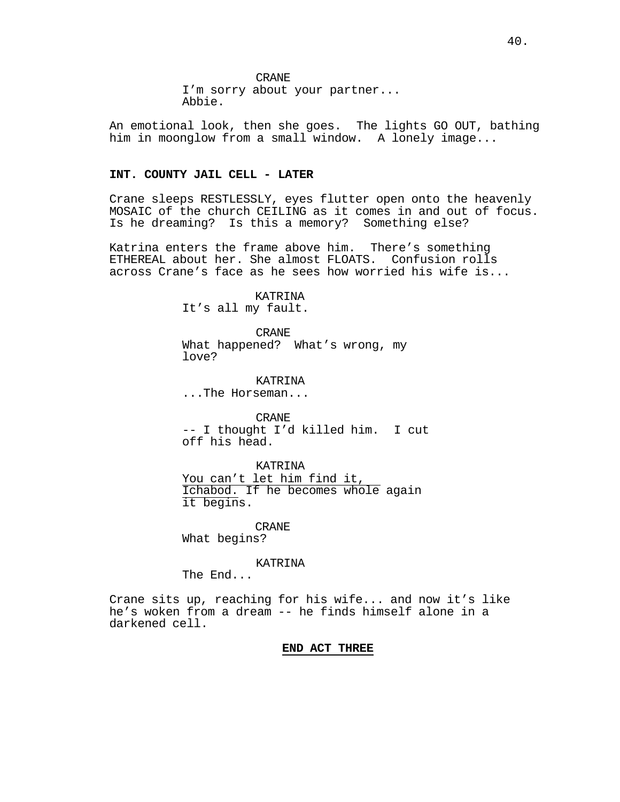An emotional look, then she goes. The lights GO OUT, bathing him in moonglow from a small window. A lonely image...

### **INT. COUNTY JAIL CELL - LATER**

Crane sleeps RESTLESSLY, eyes flutter open onto the heavenly MOSAIC of the church CEILING as it comes in and out of focus. Is he dreaming? Is this a memory? Something else?

Katrina enters the frame above him. There's something ETHEREAL about her. She almost FLOATS. Confusion rolls across Crane's face as he sees how worried his wife is...

KATRINA

It's all my fault.

CRANE What happened? What's wrong, my love?

KATRINA ...The Horseman...

CRANE -- I thought I'd killed him. I cut off his head.

KATRINA You can't let him find it, Ichabod. If he becomes whole again it begins.

CRANE

What begins?

KATRINA

The End...

Crane sits up, reaching for his wife... and now it's like he's woken from a dream -- he finds himself alone in a darkened cell.

# **END ACT THREE**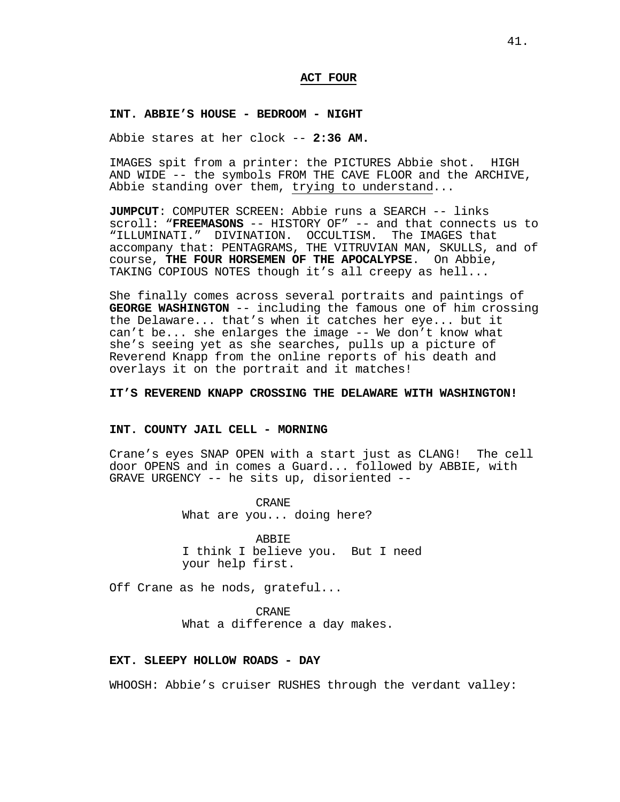# **ACT FOUR**

#### **INT. ABBIE'S HOUSE - BEDROOM - NIGHT**

Abbie stares at her clock -- **2:36 AM.**

IMAGES spit from a printer: the PICTURES Abbie shot. HIGH AND WIDE -- the symbols FROM THE CAVE FLOOR and the ARCHIVE, Abbie standing over them, trying to understand...

**JUMPCUT**: COMPUTER SCREEN: Abbie runs a SEARCH -- links scroll: "**FREEMASONS** -- HISTORY OF" -- and that connects us to "ILLUMINATI." DIVINATION. OCCULTISM. The IMAGES that accompany that: PENTAGRAMS, THE VITRUVIAN MAN, SKULLS, and of course, **THE FOUR HORSEMEN OF THE APOCALYPSE**. On Abbie, TAKING COPIOUS NOTES though it's all creepy as hell...

She finally comes across several portraits and paintings of **GEORGE WASHINGTON** -- including the famous one of him crossing the Delaware... that's when it catches her eye... but it can't be... she enlarges the image -- We don't know what she's seeing yet as she searches, pulls up a picture of Reverend Knapp from the online reports of his death and overlays it on the portrait and it matches!

# **IT'S REVEREND KNAPP CROSSING THE DELAWARE WITH WASHINGTON!**

### **INT. COUNTY JAIL CELL - MORNING**

Crane's eyes SNAP OPEN with a start just as CLANG! The cell door OPENS and in comes a Guard... followed by ABBIE, with GRAVE URGENCY -- he sits up, disoriented --

> CRANE What are you... doing here?

ABBIE I think I believe you. But I need your help first.

Off Crane as he nods, grateful...

CRANE What a difference a day makes.

#### **EXT. SLEEPY HOLLOW ROADS - DAY**

WHOOSH: Abbie's cruiser RUSHES through the verdant valley: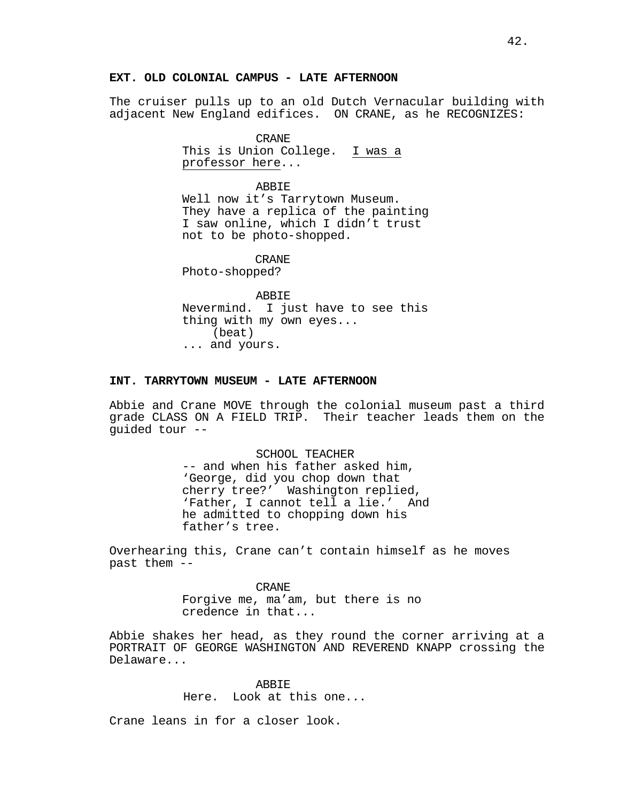# **EXT. OLD COLONIAL CAMPUS - LATE AFTERNOON**

The cruiser pulls up to an old Dutch Vernacular building with adjacent New England edifices. ON CRANE, as he RECOGNIZES:

CRANE

This is Union College. I was a professor here...

ABBIE

Well now it's Tarrytown Museum. They have a replica of the painting I saw online, which I didn't trust not to be photo-shopped.

CRANE

Photo-shopped?

ABBIE Nevermind. I just have to see this thing with my own eyes...<br>(beat) ... and yours.

# **INT. TARRYTOWN MUSEUM - LATE AFTERNOON**

Abbie and Crane MOVE through the colonial museum past a third grade CLASS ON A FIELD TRIP. Their teacher leads them on the guided tour --

> SCHOOL TEACHER -- and when his father asked him, 'George, did you chop down that cherry tree?' Washington replied, 'Father, I cannot tell a lie.' And he admitted to chopping down his father's tree.

Overhearing this, Crane can't contain himself as he moves past them --

> CRANE Forgive me, ma'am, but there is no credence in that...

Abbie shakes her head, as they round the corner arriving at a PORTRAIT OF GEORGE WASHINGTON AND REVEREND KNAPP crossing the Delaware...

> ABBIE Here. Look at this one...

Crane leans in for a closer look.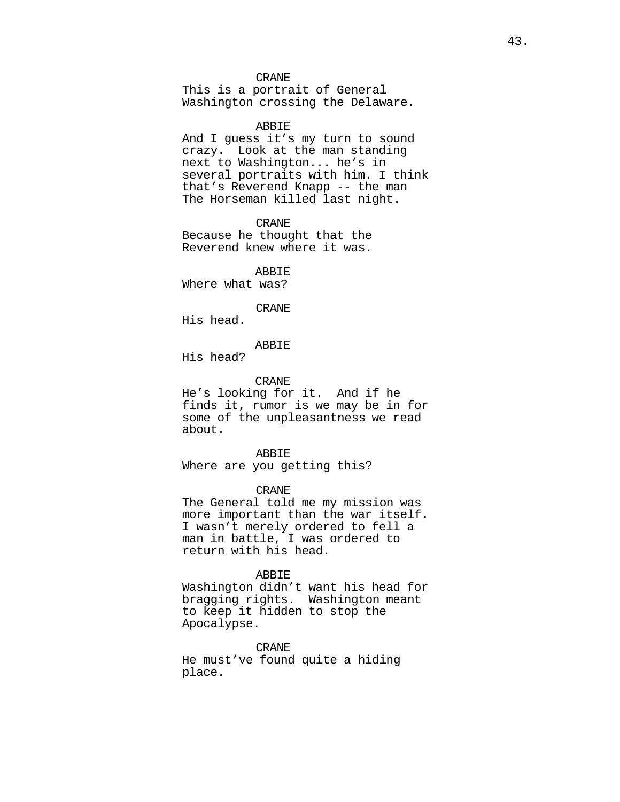### CRANE

This is a portrait of General Washington crossing the Delaware.

#### ABBIE

And I guess it's my turn to sound crazy. Look at the man standing next to Washington... he's in several portraits with him. I think that's Reverend Knapp -- the man The Horseman killed last night.

CRANE

Because he thought that the Reverend knew where it was.

ABBIE

Where what was?

# CRANE

His head.

# ABBIE

His head?

#### CRANE

He's looking for it. And if he finds it, rumor is we may be in for some of the unpleasantness we read about.

#### ABBIE

Where are you getting this?

#### CRANE

The General told me my mission was more important than the war itself. I wasn't merely ordered to fell a man in battle, I was ordered to return with his head.

# ABBIE

Washington didn't want his head for bragging rights. Washington meant to keep it hidden to stop the Apocalypse.

# CRANE

He must've found quite a hiding place.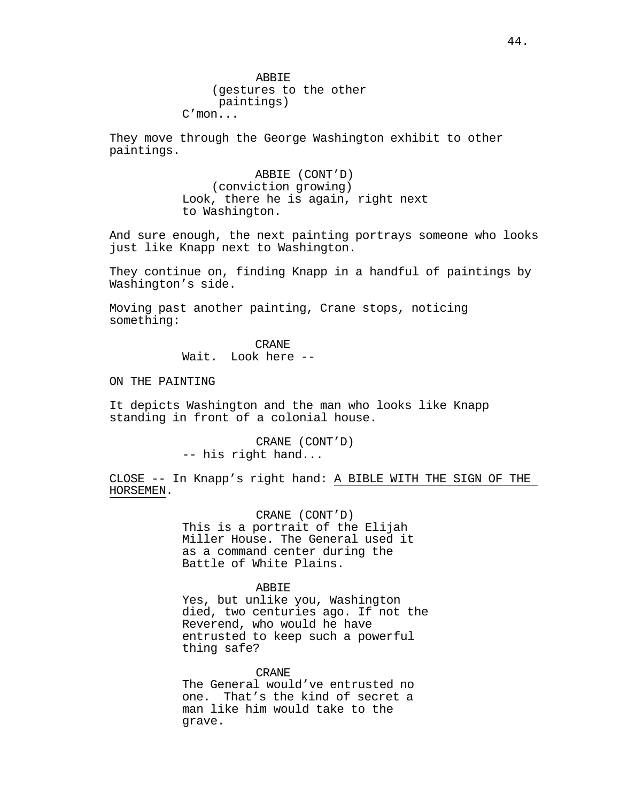They move through the George Washington exhibit to other paintings.

> ABBIE (CONT'D) (conviction growing) Look, there he is again, right next to Washington.

And sure enough, the next painting portrays someone who looks just like Knapp next to Washington.

They continue on, finding Knapp in a handful of paintings by Washington's side.

Moving past another painting, Crane stops, noticing something:

CRANE

Wait. Look here --

ON THE PAINTING

It depicts Washington and the man who looks like Knapp standing in front of a colonial house.

> CRANE (CONT'D) -- his right hand...

CLOSE -- In Knapp's right hand: A BIBLE WITH THE SIGN OF THE HORSEMEN.

> CRANE (CONT'D) This is a portrait of the Elijah Miller House. The General used it as a command center during the Battle of White Plains.

> > ABBIE

Yes, but unlike you, Washington died, two centuries ago. If not the Reverend, who would he have entrusted to keep such a powerful thing safe?

CRANE

The General would've entrusted no one. That's the kind of secret a man like him would take to the grave.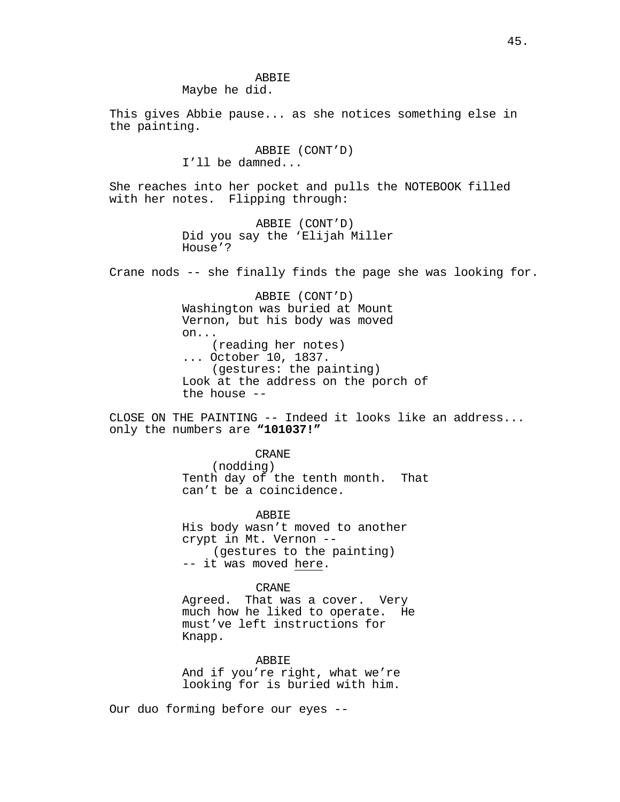ABBIE Maybe he did.

This gives Abbie pause... as she notices something else in the painting.

# ABBIE (CONT'D) I'll be damned...

She reaches into her pocket and pulls the NOTEBOOK filled with her notes. Flipping through:

> ABBIE (CONT'D) Did you say the 'Elijah Miller House'?

Crane nods -- she finally finds the page she was looking for.

ABBIE (CONT'D) Washington was buried at Mount Vernon, but his body was moved on... (reading her notes) ... October 10, 1837. (gestures: the painting) Look at the address on the porch of the house --

CLOSE ON THE PAINTING -- Indeed it looks like an address... only the numbers are **"101037!"**

CRANE

(nodding) Tenth day of the tenth month. That can't be a coincidence.

ABBIE

His body wasn't moved to another crypt in Mt. Vernon -- (gestures to the painting) -- it was moved here.

#### CRANE

Agreed. That was a cover. Very<br>much how he liked to operate. He much how he liked to operate. must've left instructions for Knapp.

ABBIE

And if you're right, what we're looking for is buried with him.

Our duo forming before our eyes --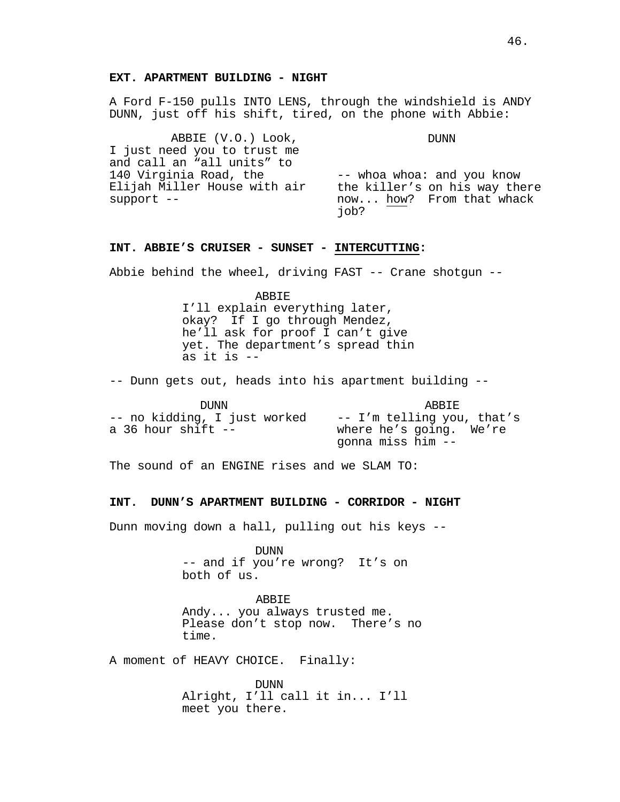# **EXT. APARTMENT BUILDING - NIGHT**

A Ford F-150 pulls INTO LENS, through the windshield is ANDY DUNN, just off his shift, tired, on the phone with Abbie:

ABBIE (V.O.) Look, I just need you to trust me and call an "all units" to 140 Virginia Road, the Elijah Miller House with air support --

DUNN

-- whoa whoa: and you know the killer's on his way there now... how? From that whack job?

# **INT. ABBIE'S CRUISER - SUNSET - INTERCUTTING:**

Abbie behind the wheel, driving FAST -- Crane shotgun --

ABBIE

I'll explain everything later, okay? If I go through Mendez, he'll ask for proof I can't give yet. The department's spread thin as it is --

-- Dunn gets out, heads into his apartment building --

| <b>DUNN</b>                                          | <b>ARRTE</b>                                                               |
|------------------------------------------------------|----------------------------------------------------------------------------|
| -- no kidding, I just worked<br>a 36 hour shift $--$ | -- I'm telling you, that's<br>where he's going. We're<br>gonna miss him -- |

The sound of an ENGINE rises and we SLAM TO:

# **INT. DUNN'S APARTMENT BUILDING - CORRIDOR - NIGHT**

Dunn moving down a hall, pulling out his keys --

DUNN<br>-- and if you're wrong? It's on both of us.

ABBIE Andy... you always trusted me. Please don't stop now. There's no time.

A moment of HEAVY CHOICE. Finally:

DUNN Alright, I'll call it in... I'll meet you there.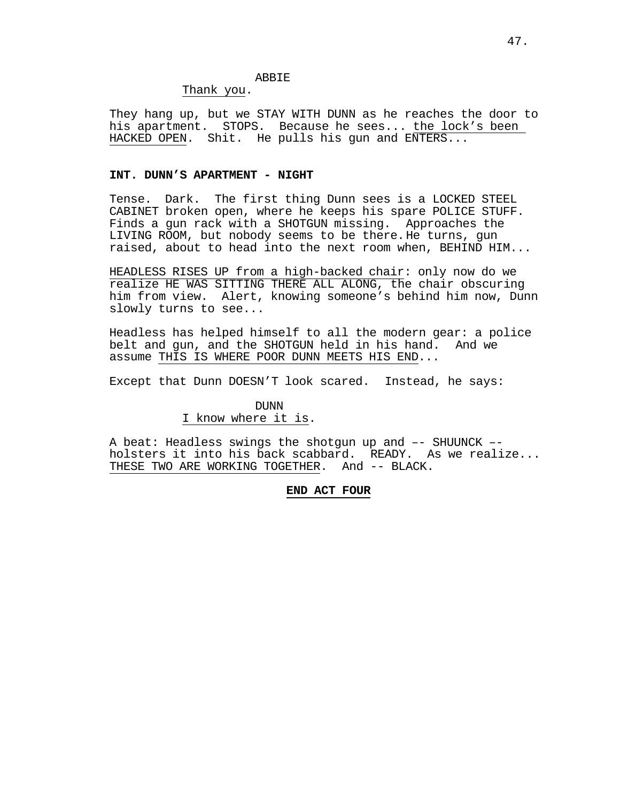# ABBIE

Thank you.

They hang up, but we STAY WITH DUNN as he reaches the door to his apartment. STOPS. Because he sees... the lock's been HACKED OPEN. Shit. He pulls his gun and ENTERS...

# **INT. DUNN'S APARTMENT - NIGHT**

Tense. Dark. The first thing Dunn sees is a LOCKED STEEL CABINET broken open, where he keeps his spare POLICE STUFF. Finds a gun rack with a SHOTGUN missing. Approaches the LIVING ROOM, but nobody seems to be there.He turns, gun raised, about to head into the next room when, BEHIND HIM...

HEADLESS RISES UP from a high-backed chair: only now do we realize HE WAS SITTING THERE ALL ALONG, the chair obscuring him from view. Alert, knowing someone's behind him now, Dunn slowly turns to see...

Headless has helped himself to all the modern gear: a police belt and gun, and the SHOTGUN held in his hand. assume THIS IS WHERE POOR DUNN MEETS HIS END...

Except that Dunn DOESN'T look scared. Instead, he says:

# DUNN

# I know where it is.

A beat: Headless swings the shotgun up and –- SHUUNCK – holsters it into his back scabbard. READY. As we realize... THESE TWO ARE WORKING TOGETHER. And -- BLACK.

# **END ACT FOUR**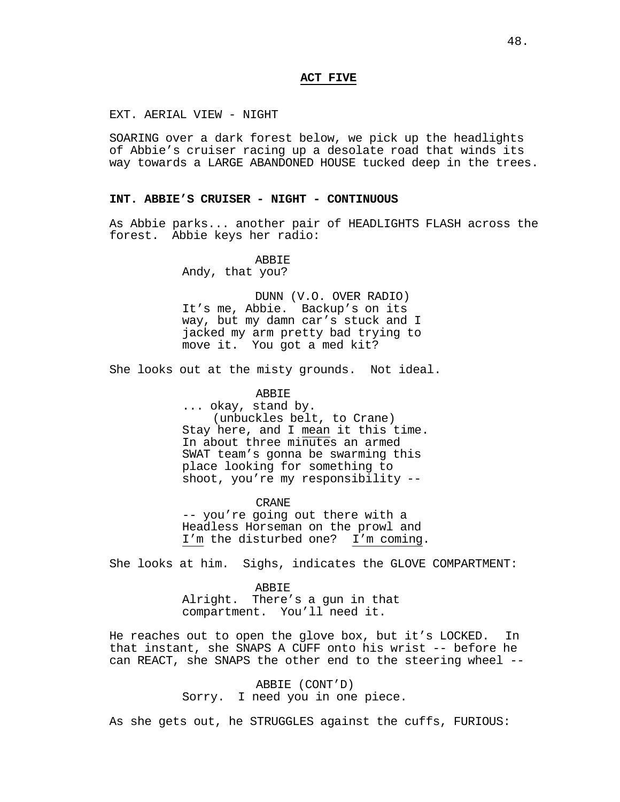# **ACT FIVE**

EXT. AERIAL VIEW - NIGHT

SOARING over a dark forest below, we pick up the headlights of Abbie's cruiser racing up a desolate road that winds its way towards a LARGE ABANDONED HOUSE tucked deep in the trees.

# **INT. ABBIE'S CRUISER - NIGHT - CONTINUOUS**

As Abbie parks... another pair of HEADLIGHTS FLASH across the forest. Abbie keys her radio:

### **ABBIE**

Andy, that you?

DUNN (V.O. OVER RADIO) It's me, Abbie. Backup's on its way, but my damn car's stuck and I jacked my arm pretty bad trying to move it. You got a med kit?

She looks out at the misty grounds. Not ideal.

### ABBIE

... okay, stand by. (unbuckles belt, to Crane) Stay here, and I mean it this time. In about three minutes an armed SWAT team's gonna be swarming this place looking for something to shoot, you're my responsibility --

CRANE -- you're going out there with a Headless Horseman on the prowl and I'm the disturbed one? I'm coming.

She looks at him. Sighs, indicates the GLOVE COMPARTMENT:

ABBIE Alright. There's a gun in that compartment. You'll need it.

He reaches out to open the glove box, but it's LOCKED. In that instant, she SNAPS A CUFF onto his wrist -- before he can REACT, she SNAPS the other end to the steering wheel --

> ABBIE (CONT'D) Sorry. I need you in one piece.

As she gets out, he STRUGGLES against the cuffs, FURIOUS: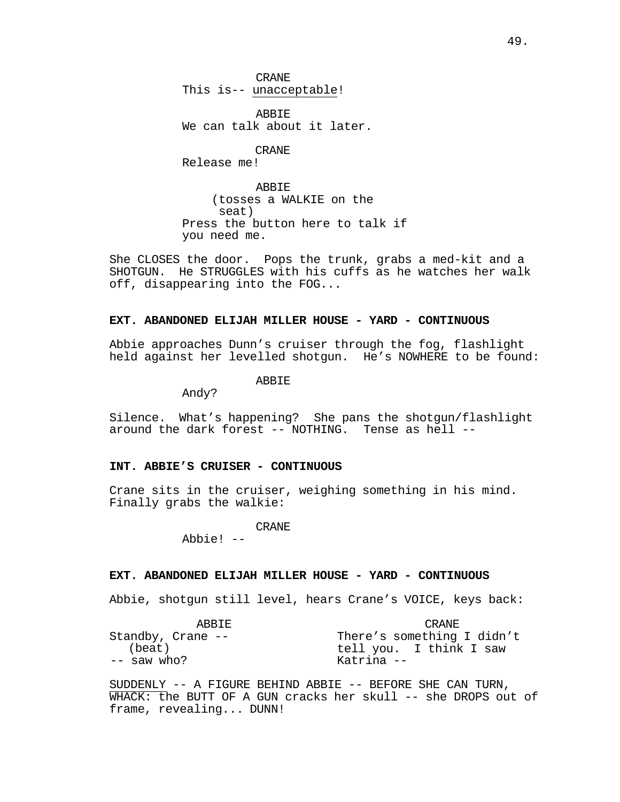CRANE This is-- unacceptable!

ABBIE We can talk about it later.

CRANE Release me!

ABBIE (tosses a WALKIE on the seat) Press the button here to talk if you need me.

She CLOSES the door. Pops the trunk, grabs a med-kit and a SHOTGUN. He STRUGGLES with his cuffs as he watches her walk off, disappearing into the FOG...

# **EXT. ABANDONED ELIJAH MILLER HOUSE - YARD - CONTINUOUS**

Abbie approaches Dunn's cruiser through the fog, flashlight held against her levelled shotgun. He's NOWHERE to be found:

ABBIE

Andy?

Silence. What's happening? She pans the shotgun/flashlight around the dark forest -- NOTHING. Tense as hell --

# **INT. ABBIE'S CRUISER - CONTINUOUS**

Crane sits in the cruiser, weighing something in his mind. Finally grabs the walkie:

CRANE

Abbie! --

# **EXT. ABANDONED ELIJAH MILLER HOUSE - YARD - CONTINUOUS**

Abbie, shotgun still level, hears Crane's VOICE, keys back:

| ARRTE.              | CRANE.                     |
|---------------------|----------------------------|
| Standby, Crane $--$ | There's something I didn't |
| (beat)              | tell you. I think I saw    |
| $--$ saw who?       | Katrina --                 |

SUDDENLY -- A FIGURE BEHIND ABBIE -- BEFORE SHE CAN TURN, WHACK: the BUTT OF A GUN cracks her skull -- she DROPS out of frame, revealing... DUNN!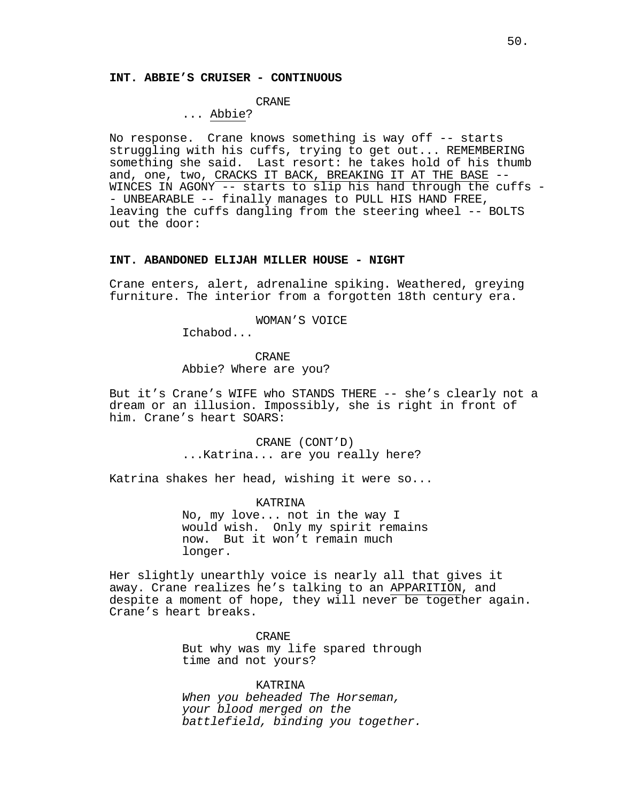### **INT. ABBIE'S CRUISER - CONTINUOUS**

# CRANE

# ... Abbie?

No response. Crane knows something is way off -- starts struggling with his cuffs, trying to get out... REMEMBERING something she said. Last resort: he takes hold of his thumb and, one, two, CRACKS IT BACK, BREAKING IT AT THE BASE -- WINCES IN AGONY -- starts to slip his hand through the cuffs -- UNBEARABLE -- finally manages to PULL HIS HAND FREE, leaving the cuffs dangling from the steering wheel -- BOLTS out the door:

# **INT. ABANDONED ELIJAH MILLER HOUSE - NIGHT**

Crane enters, alert, adrenaline spiking. Weathered, greying furniture. The interior from a forgotten 18th century era.

# WOMAN'S VOICE

Ichabod...

CRANE Abbie? Where are you?

But it's Crane's WIFE who STANDS THERE -- she's clearly not a dream or an illusion. Impossibly, she is right in front of him. Crane's heart SOARS:

> CRANE (CONT'D) ...Katrina... are you really here?

Katrina shakes her head, wishing it were so...

KATRINA

No, my love... not in the way I would wish. Only my spirit remains now. But it won't remain much longer.

Her slightly unearthly voice is nearly all that gives it away. Crane realizes he's talking to an APPARITION, and despite a moment of hope, they will never be together again. Crane's heart breaks.

> CRANE But why was my life spared through time and not yours?

> KATRINA *When you beheaded The Horseman, your blood merged on the battlefield, binding you together.*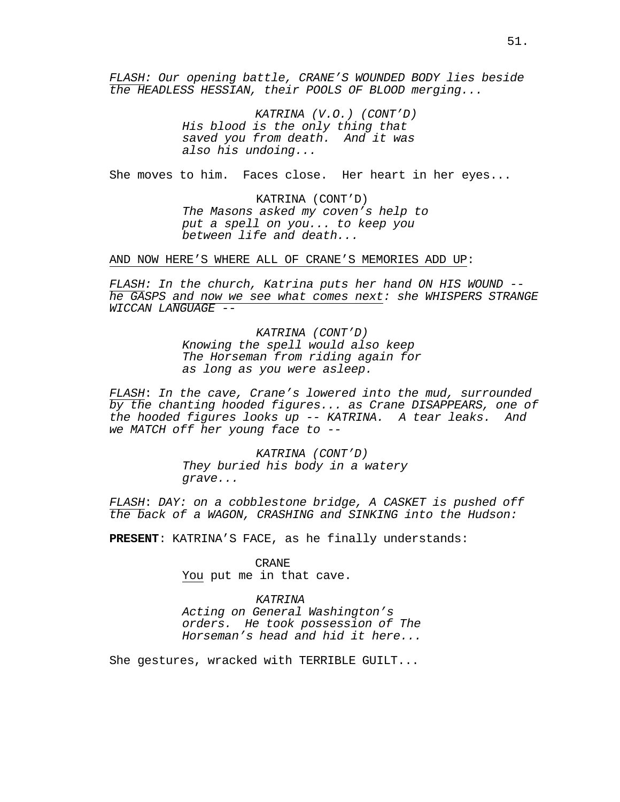*FLASH: Our opening battle, CRANE'S WOUNDED BODY lies beside the HEADLESS HESSIAN, their POOLS OF BLOOD merging...*

> *KATRINA (V.O.) (CONT'D) His blood is the only thing that saved you from death. And it was also his undoing...*

She moves to him. Faces close. Her heart in her eyes...

KATRINA (CONT'D) *The Masons asked my coven's help to put a spell on you... to keep you between life and death...*

AND NOW HERE'S WHERE ALL OF CRANE'S MEMORIES ADD UP:

*FLASH: In the church, Katrina puts her hand ON HIS WOUND - he GASPS and now we see what comes next: she WHISPERS STRANGE WICCAN LANGUAGE --*

> *KATRINA (CONT'D) Knowing the spell would also keep The Horseman from riding again for as long as you were asleep.*

*FLASH*: *In the cave, Crane's lowered into the mud, surrounded by the chanting hooded figures... as Crane DISAPPEARS, one of the hooded figures looks up -- KATRINA. A tear leaks. And we MATCH off her young face to --*

> *KATRINA (CONT'D) They buried his body in a watery grave...*

*FLASH*: *DAY: on a cobblestone bridge, A CASKET is pushed off the back of a WAGON, CRASHING and SINKING into the Hudson:*

**PRESENT**: KATRINA'S FACE, as he finally understands:

CRANE You put me in that cave.

### *KATRINA*

*Acting on General Washington's orders. He took possession of The Horseman's head and hid it here...*

She gestures, wracked with TERRIBLE GUILT...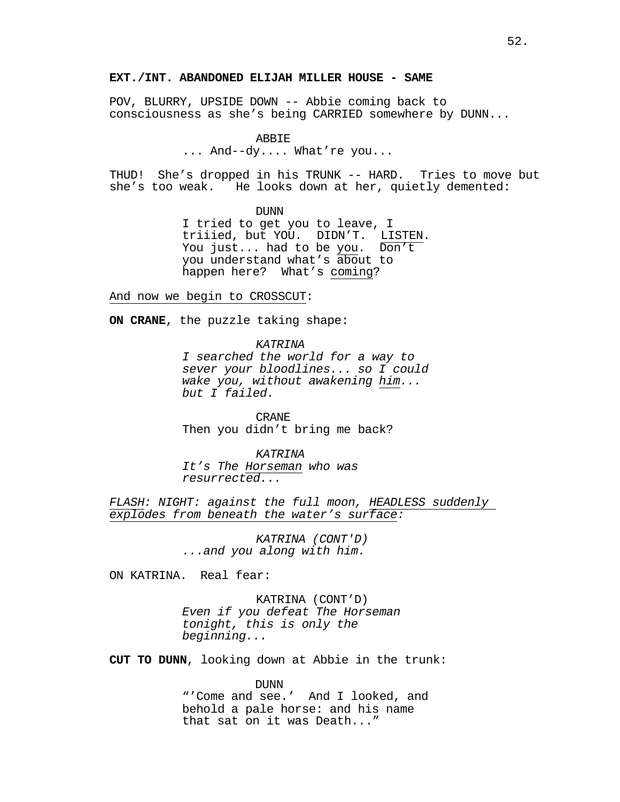# **EXT./INT. ABANDONED ELIJAH MILLER HOUSE - SAME**

POV, BLURRY, UPSIDE DOWN -- Abbie coming back to consciousness as she's being CARRIED somewhere by DUNN...

#### ABBIE

... And--dy.... What're you...

THUD! She's dropped in his TRUNK -- HARD. Tries to move but she's too weak. He looks down at her, quietly demented:

DUNN

I tried to get you to leave, I You just... had to be you. Don't you understand what's about to happen here? What's coming?

And now we begin to CROSSCUT:

**ON CRANE**, the puzzle taking shape:

*KATRINA*

*I searched the world for a way to sever your bloodlines... so I could wake you, without awakening him... but I failed.*

CRANE Then you didn't bring me back?

*KATRINA It's The Horseman who was resurrected...*

*FLASH: NIGHT: against the full moon, HEADLESS suddenly explodes from beneath the water's surface:*

> *KATRINA (CONT'D) ...and you along with him.*

ON KATRINA. Real fear:

KATRINA (CONT'D) *Even if you defeat The Horseman tonight, this is only the beginning...*

**CUT TO DUNN**, looking down at Abbie in the trunk:

DUNN "'Come and see.' And I looked, and behold a pale horse: and his name that sat on it was Death..."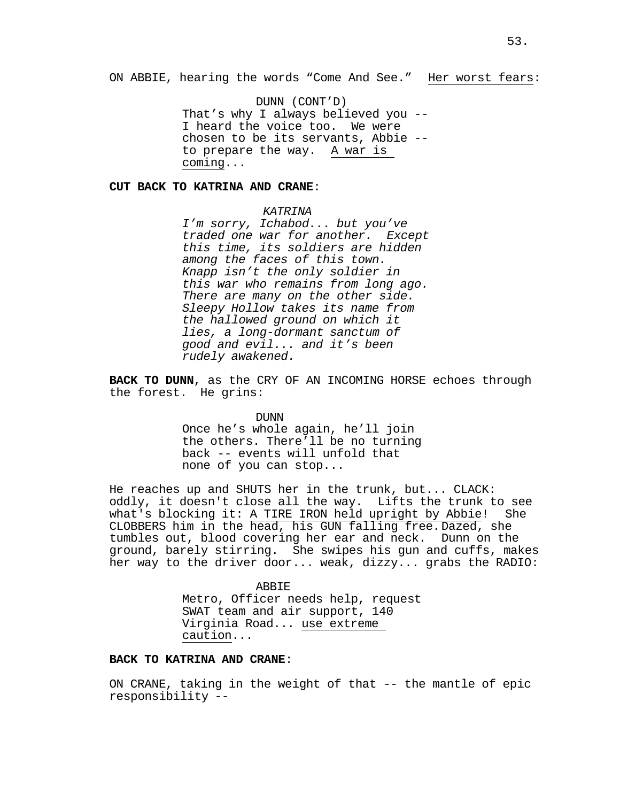ON ABBIE, hearing the words "Come And See." Her worst fears:

DUNN (CONT'D)<br>That's why I always believed you --I heard the voice too. We were chosen to be its servants, Abbie - to prepare the way. A war is coming...

### **CUT BACK TO KATRINA AND CRANE**:

# *KATRINA*

*I'm sorry, Ichabod... but you've traded one war for another. Except this time, its soldiers are hidden among the faces of this town. Knapp isn't the only soldier in this war who remains from long ago. There are many on the other side. Sleepy Hollow takes its name from the hallowed ground on which it lies, a long-dormant sanctum of good and evil... and it's been rudely awakened.*

**BACK TO DUNN**, as the CRY OF AN INCOMING HORSE echoes through the forest. He grins:

DUNN

Once he's whole again, he'll join the others. There'll be no turning back -- events will unfold that none of you can stop...

He reaches up and SHUTS her in the trunk, but... CLACK: oddly, it doesn't close all the way. Lifts the trunk to see what's blocking it: A TIRE IRON held upright by Abbie! She CLOBBERS him in the head, his GUN falling free.Dazed, she tumbles out, blood covering her ear and neck. Dunn on the ground, barely stirring. She swipes his gun and cuffs, makes her way to the driver door... weak, dizzy... grabs the RADIO:

> ABBIE Metro, Officer needs help, request SWAT team and air support, 140 Virginia Road... use extreme caution...

# **BACK TO KATRINA AND CRANE**:

ON CRANE, taking in the weight of that -- the mantle of epic responsibility --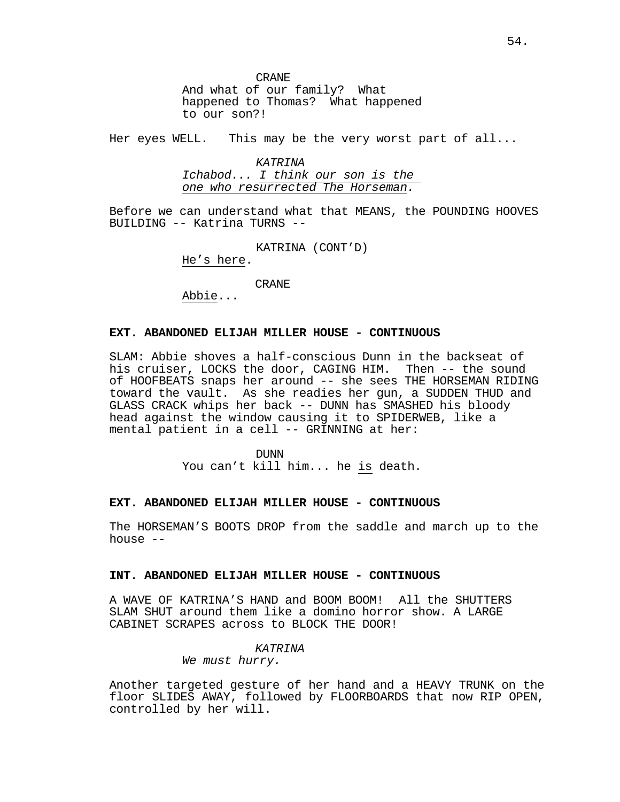CRANE And what of our family? What happened to Thomas? What happened to our son?!

Her eyes WELL. This may be the very worst part of all...

*KATRINA Ichabod... I think our son is the one who resurrected The Horseman.*

Before we can understand what that MEANS, the POUNDING HOOVES BUILDING -- Katrina TURNS --

KATRINA (CONT'D)

He's here.

Abbie... CRANE

# **EXT. ABANDONED ELIJAH MILLER HOUSE - CONTINUOUS**

SLAM: Abbie shoves a half-conscious Dunn in the backseat of his cruiser, LOCKS the door, CAGING HIM. Then -- the sound of HOOFBEATS snaps her around -- she sees THE HORSEMAN RIDING toward the vault. As she readies her gun, a SUDDEN THUD and GLASS CRACK whips her back -- DUNN has SMASHED his bloody head against the window causing it to SPIDERWEB, like a mental patient in a cell -- GRINNING at her:

> DUNN You can't kill him... he is death.

### **EXT. ABANDONED ELIJAH MILLER HOUSE - CONTINUOUS**

The HORSEMAN'S BOOTS DROP from the saddle and march up to the house --

# **INT. ABANDONED ELIJAH MILLER HOUSE - CONTINUOUS**

A WAVE OF KATRINA'S HAND and BOOM BOOM! All the SHUTTERS SLAM SHUT around them like a domino horror show. A LARGE CABINET SCRAPES across to BLOCK THE DOOR!

### *KATRINA*

*We must hurry.*

Another targeted gesture of her hand and a HEAVY TRUNK on the floor SLIDES AWAY, followed by FLOORBOARDS that now RIP OPEN, controlled by her will.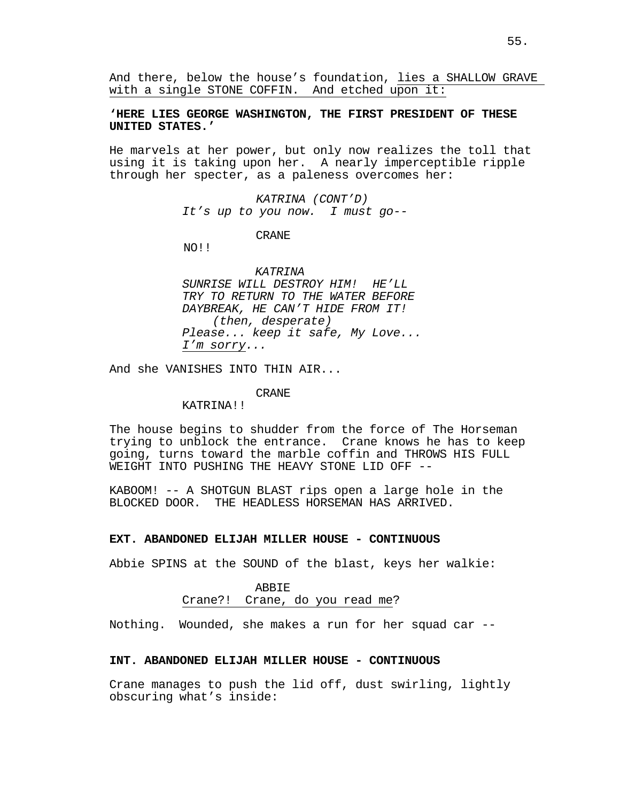And there, below the house's foundation, lies a SHALLOW GRAVE with a single STONE COFFIN. And etched upon it:

# **'HERE LIES GEORGE WASHINGTON, THE FIRST PRESIDENT OF THESE UNITED STATES.'**

He marvels at her power, but only now realizes the toll that using it is taking upon her. A nearly imperceptible ripple through her specter, as a paleness overcomes her:

> *KATRINA (CONT'D) It's up to you now. I must go--*

> > CRANE

NO!!

# *KATRINA*

*SUNRISE WILL DESTROY HIM! HE'LL TRY TO RETURN TO THE WATER BEFORE DAYBREAK, HE CAN'T HIDE FROM IT! (then, desperate) Please... keep it safe, My Love... I'm sorry...*

And she VANISHES INTO THIN AIR...

### CRANE

# KATRINA!!

The house begins to shudder from the force of The Horseman trying to unblock the entrance. Crane knows he has to keep going, turns toward the marble coffin and THROWS HIS FULL WEIGHT INTO PUSHING THE HEAVY STONE LID OFF --

KABOOM! -- A SHOTGUN BLAST rips open a large hole in the BLOCKED DOOR. THE HEADLESS HORSEMAN HAS ARRIVED.

#### **EXT. ABANDONED ELIJAH MILLER HOUSE - CONTINUOUS**

Abbie SPINS at the SOUND of the blast, keys her walkie:

# ABBIE Crane?! Crane, do you read me?

Nothing. Wounded, she makes a run for her squad car --

# **INT. ABANDONED ELIJAH MILLER HOUSE - CONTINUOUS**

Crane manages to push the lid off, dust swirling, lightly obscuring what's inside: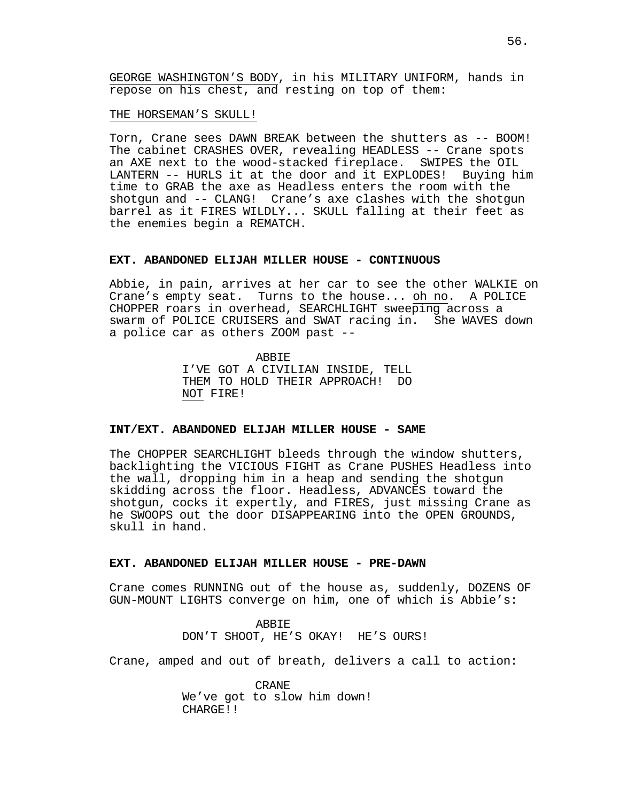GEORGE WASHINGTON'S BODY, in his MILITARY UNIFORM, hands in repose on his chest, and resting on top of them:

THE HORSEMAN'S SKULL!

Torn, Crane sees DAWN BREAK between the shutters as -- BOOM! The cabinet CRASHES OVER, revealing HEADLESS -- Crane spots an AXE next to the wood-stacked fireplace. SWIPES the OIL<br>LANTERN -- HURLS it at the door and it EXPLODES! Buying him LANTERN -- HURLS it at the door and it EXPLODES! time to GRAB the axe as Headless enters the room with the shotgun and -- CLANG! Crane's axe clashes with the shotgun barrel as it FIRES WILDLY... SKULL falling at their feet as the enemies begin a REMATCH.

#### **EXT. ABANDONED ELIJAH MILLER HOUSE - CONTINUOUS**

Abbie, in pain, arrives at her car to see the other WALKIE on Crane's empty seat. Turns to the house... oh no. A POLICE CHOPPER roars in overhead, SEARCHLIGHT sweeping across a swarm of POLICE CRUISERS and SWAT racing in. She WAVES down a police car as others ZOOM past --

> ABBIE I'VE GOT A CIVILIAN INSIDE, TELL THEM TO HOLD THEIR APPROACH! DO NOT FIRE!

#### **INT/EXT. ABANDONED ELIJAH MILLER HOUSE - SAME**

The CHOPPER SEARCHLIGHT bleeds through the window shutters, backlighting the VICIOUS FIGHT as Crane PUSHES Headless into the wall, dropping him in a heap and sending the shotgun skidding across the floor. Headless, ADVANCES toward the shotgun, cocks it expertly, and FIRES, just missing Crane as he SWOOPS out the door DISAPPEARING into the OPEN GROUNDS, skull in hand.

#### **EXT. ABANDONED ELIJAH MILLER HOUSE - PRE-DAWN**

Crane comes RUNNING out of the house as, suddenly, DOZENS OF GUN-MOUNT LIGHTS converge on him, one of which is Abbie's:

> ABBIE DON'T SHOOT, HE'S OKAY! HE'S OURS!

Crane, amped and out of breath, delivers a call to action:

CRANE We've got to slow him down! CHARGE!!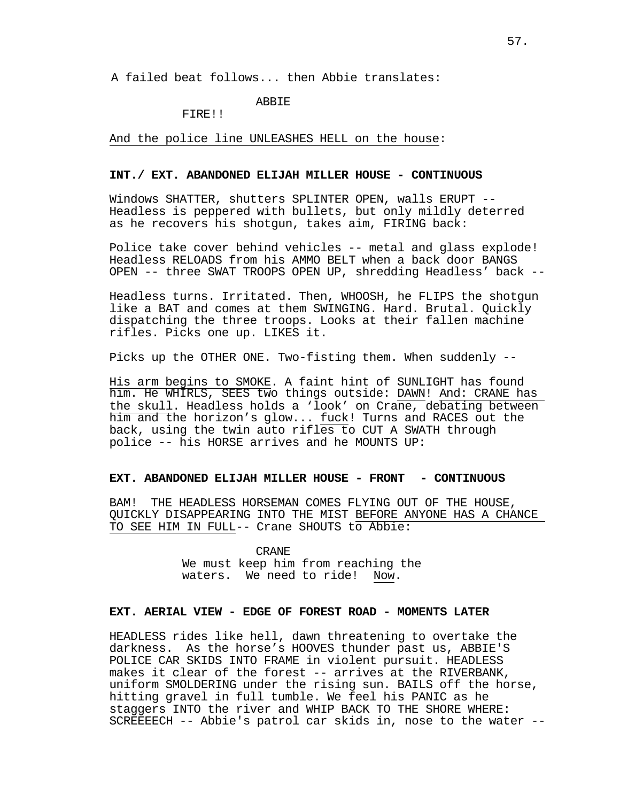A failed beat follows... then Abbie translates:

# ABBIE

FIRE!!

And the police line UNLEASHES HELL on the house:

# **INT./ EXT. ABANDONED ELIJAH MILLER HOUSE - CONTINUOUS**

Windows SHATTER, shutters SPLINTER OPEN, walls ERUPT -- Headless is peppered with bullets, but only mildly deterred as he recovers his shotgun, takes aim, FIRING back:

Police take cover behind vehicles -- metal and glass explode! Headless RELOADS from his AMMO BELT when a back door BANGS OPEN -- three SWAT TROOPS OPEN UP, shredding Headless' back --

Headless turns. Irritated. Then, WHOOSH, he FLIPS the shotgun like a BAT and comes at them SWINGING. Hard. Brutal. Quickly dispatching the three troops. Looks at their fallen machine rifles. Picks one up. LIKES it.

Picks up the OTHER ONE. Two-fisting them. When suddenly --

His arm begins to SMOKE. A faint hint of SUNLIGHT has found him. He WHIRLS, SEES two things outside: DAWN! And: CRANE has the skull. Headless holds a 'look' on Crane, debating between him and the horizon's glow... fuck! Turns and RACES out the back, using the twin auto rifles to CUT A SWATH through police -- his HORSE arrives and he MOUNTS UP:

# **EXT. ABANDONED ELIJAH MILLER HOUSE - FRONT - CONTINUOUS**

BAM! THE HEADLESS HORSEMAN COMES FLYING OUT OF THE HOUSE, QUICKLY DISAPPEARING INTO THE MIST BEFORE ANYONE HAS A CHANCE TO SEE HIM IN FULL-- Crane SHOUTS to Abbie:

> CRANE We must keep him from reaching the waters. We need to ride! Now.

# **EXT. AERIAL VIEW - EDGE OF FOREST ROAD - MOMENTS LATER**

HEADLESS rides like hell, dawn threatening to overtake the darkness. As the horse's HOOVES thunder past us, ABBIE'S POLICE CAR SKIDS INTO FRAME in violent pursuit. HEADLESS makes it clear of the forest -- arrives at the RIVERBANK, uniform SMOLDERING under the rising sun. BAILS off the horse, hitting gravel in full tumble. We feel his PANIC as he staggers INTO the river and WHIP BACK TO THE SHORE WHERE: SCREEEECH -- Abbie's patrol car skids in, nose to the water --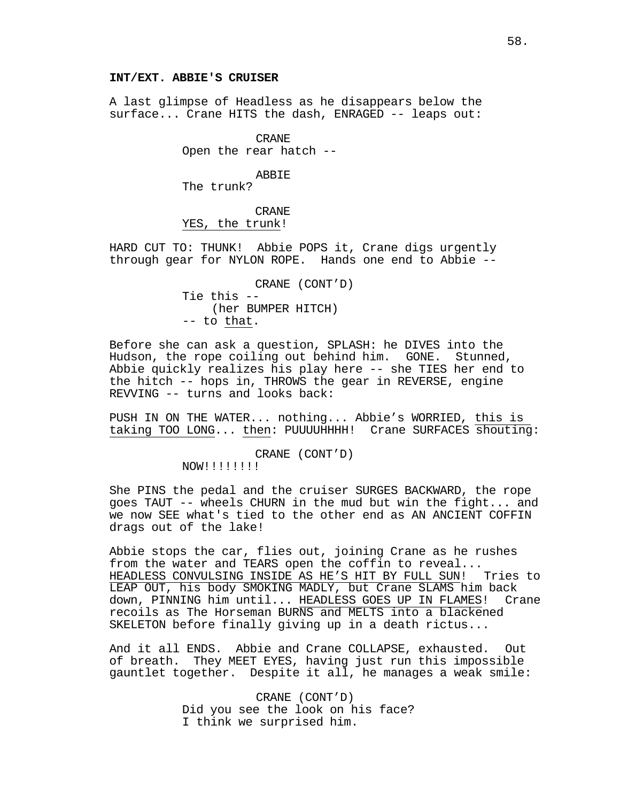# **INT/EXT. ABBIE'S CRUISER**

A last glimpse of Headless as he disappears below the surface... Crane HITS the dash, ENRAGED -- leaps out:

> CRANE Open the rear hatch --

### ABBIE

The trunk?

CRANE

YES, the trunk!

HARD CUT TO: THUNK! Abbie POPS it, Crane digs urgently through gear for NYLON ROPE. Hands one end to Abbie --

> CRANE (CONT'D) Tie this -- (her BUMPER HITCH) -- to that.

Before she can ask a question, SPLASH: he DIVES into the Hudson, the rope coiling out behind him. GONE. Stunned, Abbie quickly realizes his play here -- she TIES her end to the hitch -- hops in, THROWS the gear in REVERSE, engine REVVING -- turns and looks back:

PUSH IN ON THE WATER... nothing... Abbie's WORRIED, this is taking TOO LONG... then: PUUUUHHHH! Crane SURFACES shouting:

> CRANE (CONT'D) NOW!!!!!!!!

She PINS the pedal and the cruiser SURGES BACKWARD, the rope goes TAUT -- wheels CHURN in the mud but win the fight... and we now SEE what's tied to the other end as AN ANCIENT COFFIN drags out of the lake!

Abbie stops the car, flies out, joining Crane as he rushes from the water and TEARS open the coffin to reveal...<br>HEADLESS CONVULSING INSIDE AS HE'S HIT BY FULL SUN! Tries to HEADLESS CONVULSING INSIDE AS HE'S HIT BY FULL SUN! LEAP OUT, his body SMOKING MADLY, but Crane SLAMS him back<br>down, PINNING him until... HEADLESS GOES UP IN FLAMES! Crane down, PINNING him until... HEADLESS GOES UP IN FLAMES! recoils as The Horseman BURNS and MELTS into a blackened SKELETON before finally giving up in a death rictus...

And it all ENDS. Abbie and Crane COLLAPSE, exhausted. Out of breath. They MEET EYES, having just run this impossible gauntlet together. Despite it all, he manages a weak smile:

> CRANE (CONT'D) Did you see the look on his face? I think we surprised him.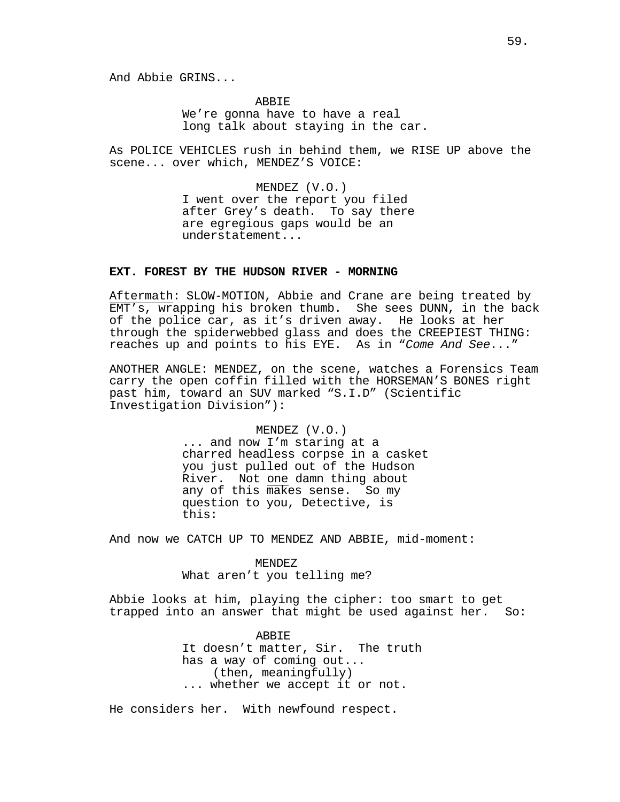And Abbie GRINS...

ABBIE We're gonna have to have a real long talk about staying in the car.

As POLICE VEHICLES rush in behind them, we RISE UP above the scene... over which, MENDEZ'S VOICE:

> MENDEZ (V.O.) I went over the report you filed after Grey's death. To say there are egregious gaps would be an understatement...

# **EXT. FOREST BY THE HUDSON RIVER - MORNING**

Aftermath: SLOW-MOTION, Abbie and Crane are being treated by EMT's, wrapping his broken thumb. She sees DUNN, in the back of the police car, as it's driven away. He looks at her through the spiderwebbed glass and does the CREEPIEST THING: reaches up and points to his EYE. As in "*Come And See*..."

ANOTHER ANGLE: MENDEZ, on the scene, watches a Forensics Team carry the open coffin filled with the HORSEMAN'S BONES right past him, toward an SUV marked "S.I.D" (Scientific Investigation Division"):

MENDEZ (V.O.)

... and now I'm staring at a charred headless corpse in a casket you just pulled out of the Hudson River. Not one damn thing about any of this makes sense. So my question to you, Detective, is this:

And now we CATCH UP TO MENDEZ AND ABBIE, mid-moment:

MENDEZ

What aren't you telling me?

Abbie looks at him, playing the cipher: too smart to get trapped into an answer that might be used against her. So:

> ABBIE It doesn't matter, Sir. The truth has a way of coming out...<br>(then, meaningfully) ... whether we accept it or not.

He considers her. With newfound respect.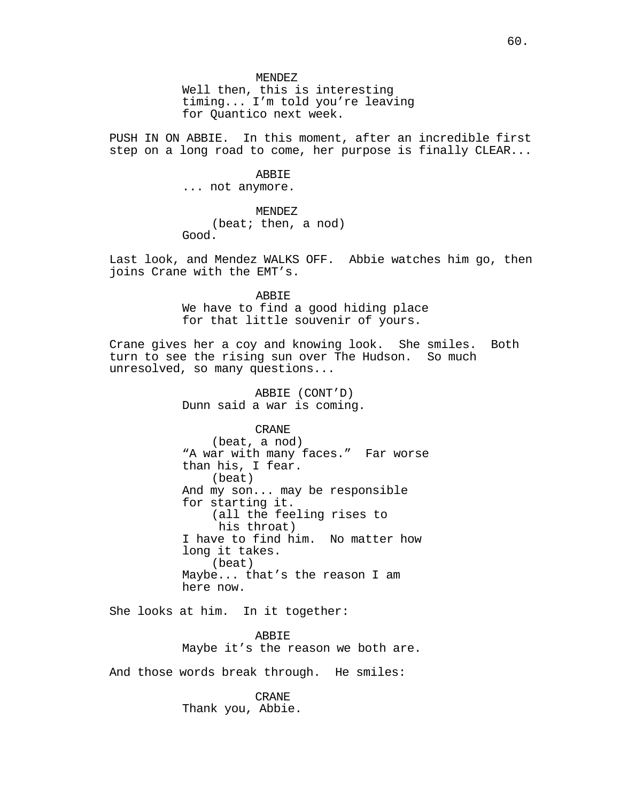Well then, this is interesting timing... I'm told you're leaving for Quantico next week.

PUSH IN ON ABBIE. In this moment, after an incredible first step on a long road to come, her purpose is finally CLEAR...

# **ABBIE**

... not anymore.

# MENDEZ

(beat; then, a nod) Good.

Last look, and Mendez WALKS OFF. Abbie watches him go, then joins Crane with the EMT's.

ABBIE

We have to find a good hiding place for that little souvenir of yours.

Crane gives her a coy and knowing look. She smiles. Both<br>turn to see the rising sun over The Hudson. So much turn to see the rising sun over The Hudson. unresolved, so many questions...

> ABBIE (CONT'D) Dunn said a war is coming.

> > CRANE

(beat, a nod) "A war with many faces." Far worse than his, I fear. (beat) And my son... may be responsible for starting it. (all the feeling rises to his throat) I have to find him. No matter how long it takes. (beat) Maybe... that's the reason I am here now.

She looks at him. In it together:

ABBIE Maybe it's the reason we both are.

And those words break through. He smiles:

CRANE Thank you, Abbie.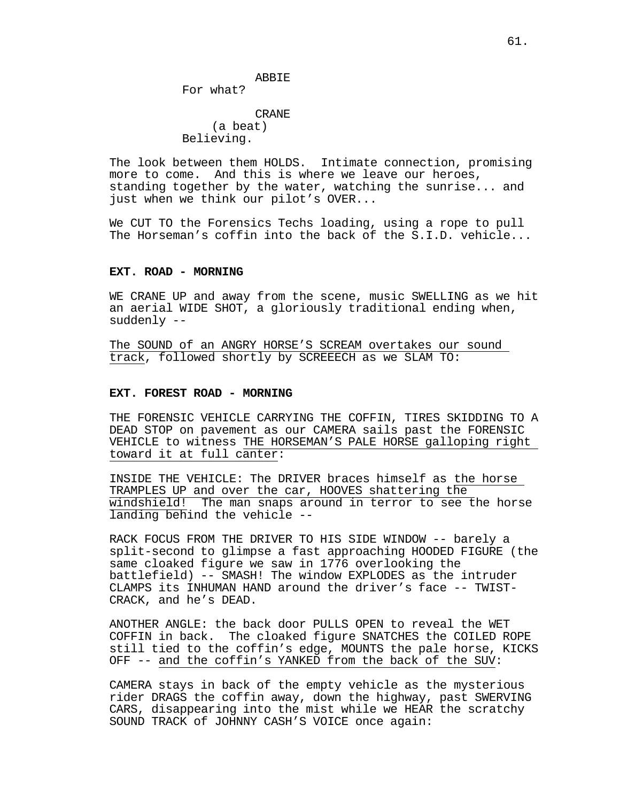For what?

CRANE (a beat) Believing.

The look between them HOLDS. Intimate connection, promising more to come. And this is where we leave our heroes, standing together by the water, watching the sunrise... and just when we think our pilot's OVER...

We CUT TO the Forensics Techs loading, using a rope to pull The Horseman's coffin into the back of the S.I.D. vehicle...

### **EXT. ROAD - MORNING**

WE CRANE UP and away from the scene, music SWELLING as we hit an aerial WIDE SHOT, a gloriously traditional ending when, suddenly --

The SOUND of an ANGRY HORSE'S SCREAM overtakes our sound track, followed shortly by SCREEECH as we SLAM TO:

# **EXT. FOREST ROAD - MORNING**

THE FORENSIC VEHICLE CARRYING THE COFFIN, TIRES SKIDDING TO A DEAD STOP on pavement as our CAMERA sails past the FORENSIC VEHICLE to witness THE HORSEMAN'S PALE HORSE galloping right toward it at full canter:

INSIDE THE VEHICLE: The DRIVER braces himself as the horse TRAMPLES UP and over the car, HOOVES shattering the windshield! The man snaps around in terror to see the horse landing behind the vehicle --

RACK FOCUS FROM THE DRIVER TO HIS SIDE WINDOW -- barely a split-second to glimpse a fast approaching HOODED FIGURE (the same cloaked figure we saw in 1776 overlooking the battlefield) -- SMASH! The window EXPLODES as the intruder CLAMPS its INHUMAN HAND around the driver's face -- TWIST-CRACK, and he's DEAD.

ANOTHER ANGLE: the back door PULLS OPEN to reveal the WET COFFIN in back. The cloaked figure SNATCHES the COILED ROPE still tied to the coffin's edge, MOUNTS the pale horse, KICKS OFF -- and the coffin's YANKED from the back of the SUV:

CAMERA stays in back of the empty vehicle as the mysterious rider DRAGS the coffin away, down the highway, past SWERVING CARS, disappearing into the mist while we HEAR the scratchy SOUND TRACK of JOHNNY CASH'S VOICE once again: